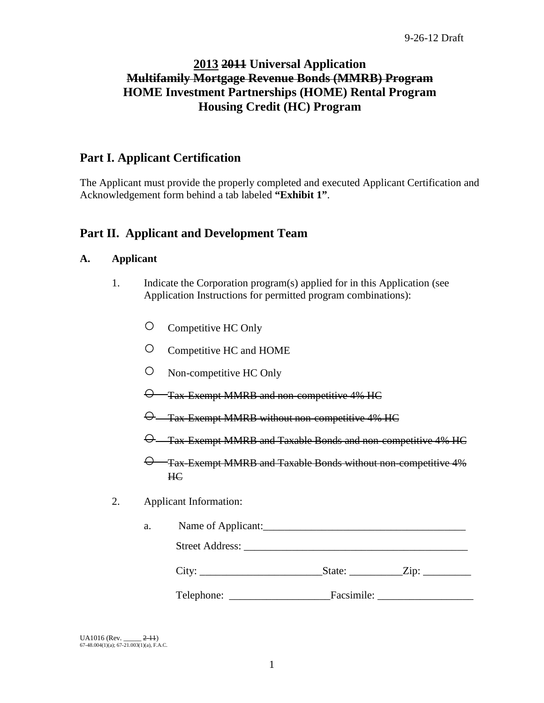# **2013 2011 Universal Application Multifamily Mortgage Revenue Bonds (MMRB) Program HOME Investment Partnerships (HOME) Rental Program Housing Credit (HC) Program**

# **Part I. Applicant Certification**

The Applicant must provide the properly completed and executed Applicant Certification and Acknowledgement form behind a tab labeled **"Exhibit 1"**.

# **Part II. Applicant and Development Team**

# **A. Applicant**

- 1. Indicate the Corporation program(s) applied for in this Application (see Application Instructions for permitted program combinations):
	- Competitive HC Only
	- Competitive HC and HOME
	- Non-competitive HC Only
	- $\Theta$  Tax-Exempt MMRB and non-competitive 4% HC
	- $\Theta$  Tax-Exempt MMRB without non-competitive 4% HC
	- Tax-Exempt MMRB and Taxable Bonds and non-competitive 4% HC

○ Tax-Exempt MMRB and Taxable Bonds without non-competitive 4% HC

2. Applicant Information:

| a. | Name of Applicant: |            |                    |  |
|----|--------------------|------------|--------------------|--|
|    |                    |            |                    |  |
|    |                    |            | State: <u>Zip:</u> |  |
|    | Telephone:         | Facsimile: |                    |  |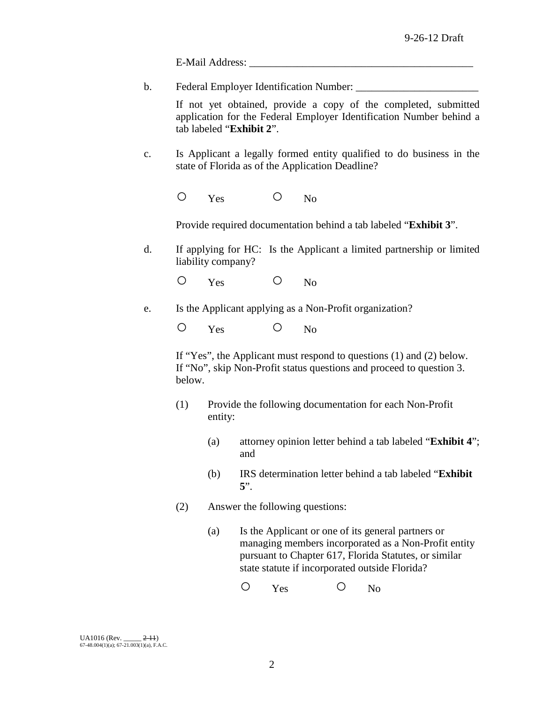E-Mail Address:

b. Federal Employer Identification Number: \_\_\_\_\_\_\_\_\_\_\_\_\_\_\_\_\_\_\_\_\_\_\_

If not yet obtained, provide a copy of the completed, submitted application for the Federal Employer Identification Number behind a tab labeled "**Exhibit 2**".

c. Is Applicant a legally formed entity qualified to do business in the state of Florida as of the Application Deadline?

O Yes O No

Provide required documentation behind a tab labeled "**Exhibit 3**".

d. If applying for HC: Is the Applicant a limited partnership or limited liability company?

O Yes O No

e. Is the Applicant applying as a Non-Profit organization?

O Yes O No

If "Yes", the Applicant must respond to questions (1) and (2) below. If "No", skip Non-Profit status questions and proceed to question 3. below.

- (1) Provide the following documentation for each Non-Profit entity:
	- (a) attorney opinion letter behind a tab labeled "**Exhibit 4**"; and
	- (b) IRS determination letter behind a tab labeled "**Exhibit 5**".
- (2) Answer the following questions:
	- (a) Is the Applicant or one of its general partners or managing members incorporated as a Non-Profit entity pursuant to Chapter 617, Florida Statutes, or similar state statute if incorporated outside Florida?

O Yes O No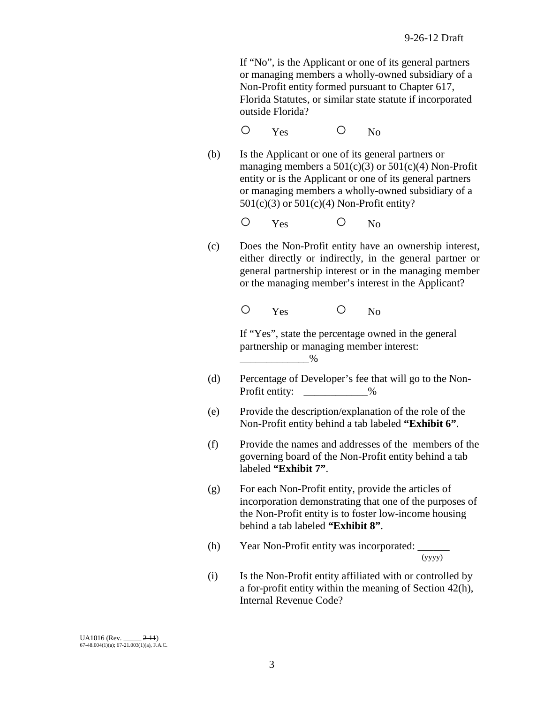If "No", is the Applicant or one of its general partners or managing members a wholly-owned subsidiary of a Non-Profit entity formed pursuant to Chapter 617, Florida Statutes, or similar state statute if incorporated outside Florida?

O Yes O No

(b) Is the Applicant or one of its general partners or managing members a  $501(c)(3)$  or  $501(c)(4)$  Non-Profit entity or is the Applicant or one of its general partners or managing members a wholly-owned subsidiary of a 501(c)(3) or 501(c)(4) Non-Profit entity?

O Yes O No

(c) Does the Non-Profit entity have an ownership interest, either directly or indirectly, in the general partner or general partnership interest or in the managing member or the managing member's interest in the Applicant?

O Yes O No

If "Yes", state the percentage owned in the general partnership or managing member interest:  $\overline{\phantom{a}}$  %

- (d) Percentage of Developer's fee that will go to the Non-Profit entity:  $\%$
- (e) Provide the description/explanation of the role of the Non-Profit entity behind a tab labeled **"Exhibit 6"**.
- (f) Provide the names and addresses of the members of the governing board of the Non-Profit entity behind a tab labeled **"Exhibit 7"**.
- (g) For each Non-Profit entity, provide the articles of incorporation demonstrating that one of the purposes of the Non-Profit entity is to foster low-income housing behind a tab labeled **"Exhibit 8"**.
- (h) Year Non-Profit entity was incorporated:  $\frac{1}{(y y y y)}$
- (i) Is the Non-Profit entity affiliated with or controlled by a for-profit entity within the meaning of Section 42(h), Internal Revenue Code?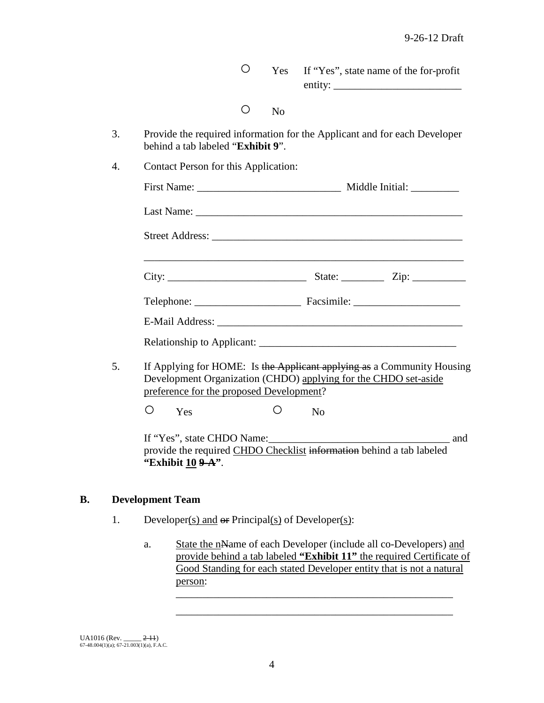|                                          | $\bigcirc$ | <b>Yes</b>     | If "Yes", state name of the for-profit                                                                                                    |
|------------------------------------------|------------|----------------|-------------------------------------------------------------------------------------------------------------------------------------------|
|                                          | Ο          | N <sub>o</sub> |                                                                                                                                           |
| behind a tab labeled "Exhibit 9".        |            |                | Provide the required information for the Applicant and for each Developer                                                                 |
| Contact Person for this Application:     |            |                |                                                                                                                                           |
|                                          |            |                |                                                                                                                                           |
|                                          |            |                |                                                                                                                                           |
|                                          |            |                |                                                                                                                                           |
|                                          |            |                |                                                                                                                                           |
|                                          |            |                |                                                                                                                                           |
|                                          |            |                |                                                                                                                                           |
|                                          |            |                |                                                                                                                                           |
| preference for the proposed Development? |            |                | If Applying for HOME: Is the Applicant applying as a Community Housing<br>Development Organization (CHDO) applying for the CHDO set-aside |

# **B. Development Team**

- 1. Developer(s) and  $\Theta$  Principal(s) of Developer(s):
	- a. State the nName of each Developer (include all co-Developers) and provide behind a tab labeled **"Exhibit 11"** the required Certificate of Good Standing for each stated Developer entity that is not a natural person: \_\_\_\_\_\_\_\_\_\_\_\_\_\_\_\_\_\_\_\_\_\_\_\_\_\_\_\_\_\_\_\_\_\_\_\_\_\_\_\_\_\_\_\_\_\_\_\_\_\_\_\_

\_\_\_\_\_\_\_\_\_\_\_\_\_\_\_\_\_\_\_\_\_\_\_\_\_\_\_\_\_\_\_\_\_\_\_\_\_\_\_\_\_\_\_\_\_\_\_\_\_\_\_\_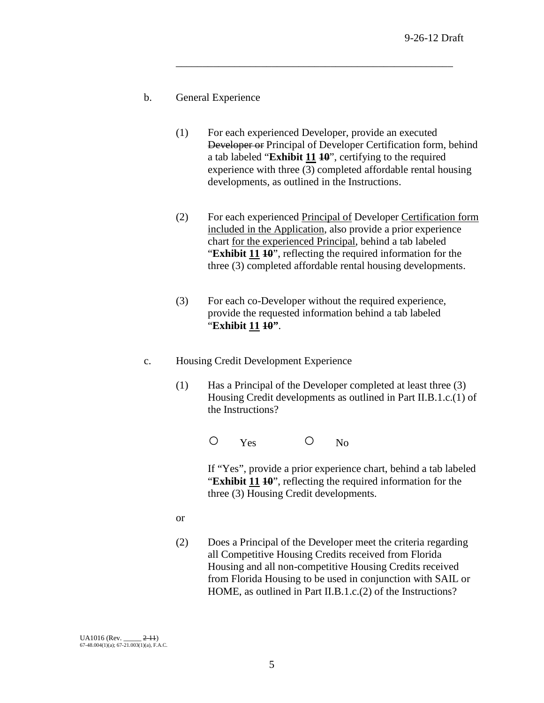- b. General Experience
	- (1) For each experienced Developer, provide an executed Developer or Principal of Developer Certification form, behind a tab labeled "**Exhibit 11 10**", certifying to the required experience with three (3) completed affordable rental housing developments, as outlined in the Instructions.

\_\_\_\_\_\_\_\_\_\_\_\_\_\_\_\_\_\_\_\_\_\_\_\_\_\_\_\_\_\_\_\_\_\_\_\_\_\_\_\_\_\_\_\_\_\_\_\_\_\_\_\_

- (2) For each experienced Principal of Developer Certification form included in the Application, also provide a prior experience chart for the experienced Principal, behind a tab labeled "**Exhibit 11 10**", reflecting the required information for the three (3) completed affordable rental housing developments.
- (3) For each co-Developer without the required experience, provide the requested information behind a tab labeled "**Exhibit 11 10"**.
- c. Housing Credit Development Experience
	- (1) Has a Principal of the Developer completed at least three (3) Housing Credit developments as outlined in Part II.B.1.c.(1) of the Instructions?

O Yes O No

If "Yes", provide a prior experience chart, behind a tab labeled "**Exhibit 11 10**", reflecting the required information for the three (3) Housing Credit developments.

- or
- (2) Does a Principal of the Developer meet the criteria regarding all Competitive Housing Credits received from Florida Housing and all non-competitive Housing Credits received from Florida Housing to be used in conjunction with SAIL or HOME, as outlined in Part II.B.1.c.(2) of the Instructions?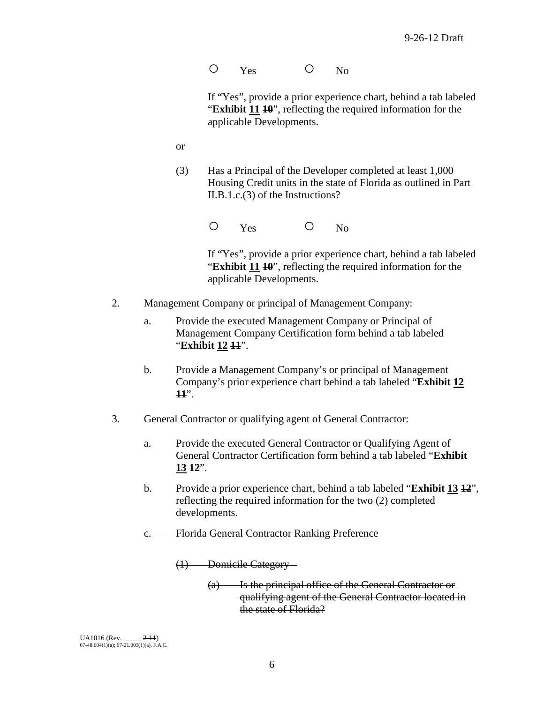O Yes O No

If "Yes", provide a prior experience chart, behind a tab labeled "**Exhibit 11 10**", reflecting the required information for the applicable Developments.

- or
- (3) Has a Principal of the Developer completed at least 1,000 Housing Credit units in the state of Florida as outlined in Part II.B.1.c.(3) of the Instructions?

O Yes O No

If "Yes", provide a prior experience chart, behind a tab labeled "**Exhibit 11 10**", reflecting the required information for the applicable Developments.

- 2. Management Company or principal of Management Company:
	- a. Provide the executed Management Company or Principal of Management Company Certification form behind a tab labeled "**Exhibit 12 11**".
	- b. Provide a Management Company's or principal of Management Company's prior experience chart behind a tab labeled "**Exhibit 12 11**".
- 3. General Contractor or qualifying agent of General Contractor:
	- a. Provide the executed General Contractor or Qualifying Agent of General Contractor Certification form behind a tab labeled "**Exhibit 13 12**".
	- b. Provide a prior experience chart, behind a tab labeled "**Exhibit 13 12**", reflecting the required information for the two (2) completed developments.
	- c. Florida General Contractor Ranking Preference

(1) Domicile Category –

(a) Is the principal office of the General Contractor or qualifying agent of the General Contractor located in the state of Florida?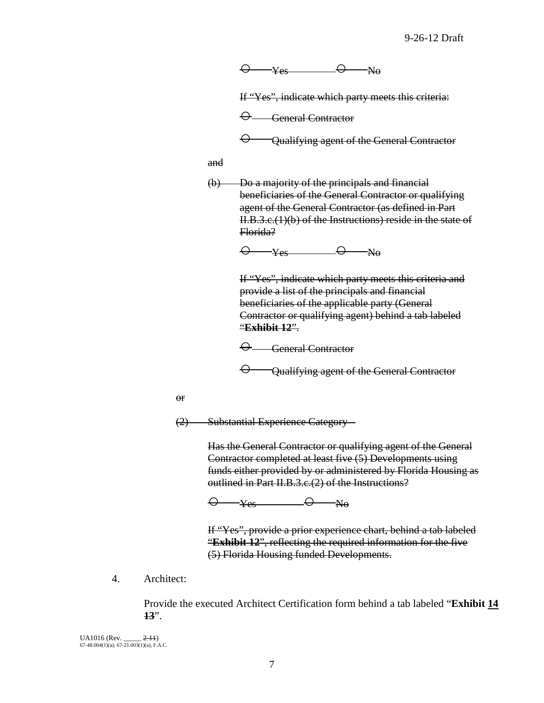$\Theta$   $\rightarrow$   $\gamma$ <sub>es</sub>  $\qquad \quad \Theta$   $\rightarrow$  No

If "Yes", indicate which party meets this criteria:

 $\Theta$  General Contractor

 $\Theta$  Qualifying agent of the General Contractor

and

(b) Do a majority of the principals and financial beneficiaries of the General Contractor or qualifying agent of the General Contractor (as defined in Part II.B.3.c.(1)(b) of the Instructions) reside in the state of Florida?

 $\Theta$  y<sub>es</sub>  $\Theta$  No

If "Yes", indicate which party meets this criteria and provide a list of the principals and financial beneficiaries of the applicable party (General Contractor or qualifying agent) behind a tab labeled "**Exhibit 12**".

 $\Theta$  General Contractor

 $\Theta$  - Qualifying agent of the General Contractor

or

(2) Substantial Experience Category –

Has the General Contractor or qualifying agent of the General Contractor completed at least five (5) Developments using funds either provided by or administered by Florida Housing as outlined in Part II.B.3.c.(2) of the Instructions?

 $\Theta$   $\rightarrow$  Yes  $\Theta$  No

If "Yes", provide a prior experience chart, behind a tab labeled "**Exhibit 12**", reflecting the required information for the five (5) Florida Housing funded Developments.

4. Architect:

Provide the executed Architect Certification form behind a tab labeled "**Exhibit 14 13**".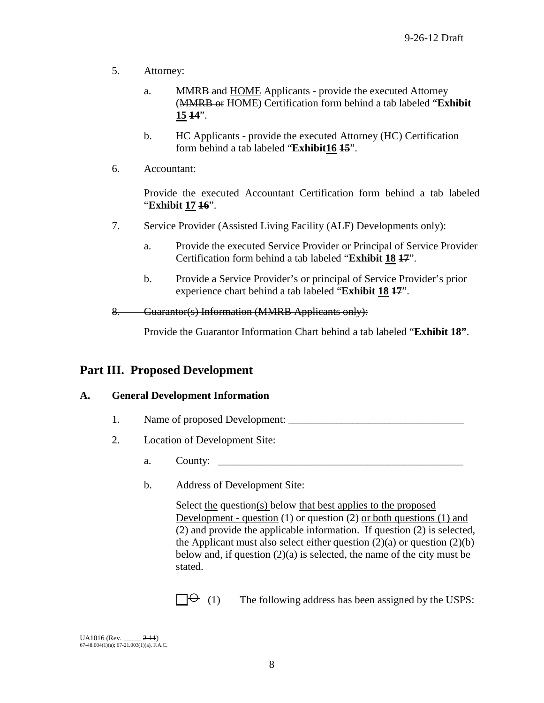- 5. Attorney:
	- a. MMRB and HOME Applicants provide the executed Attorney (MMRB or HOME) Certification form behind a tab labeled "**Exhibit 15 14**".
	- b. HC Applicants provide the executed Attorney (HC) Certification form behind a tab labeled "**Exhibit16 15**".
- 6. Accountant:

Provide the executed Accountant Certification form behind a tab labeled "**Exhibit 17 16**".

- 7. Service Provider (Assisted Living Facility (ALF) Developments only):
	- a. Provide the executed Service Provider or Principal of Service Provider Certification form behind a tab labeled "**Exhibit 18 17**".
	- b. Provide a Service Provider's or principal of Service Provider's prior experience chart behind a tab labeled "**Exhibit 18 17**".

8. Guarantor(s) Information (MMRB Applicants only):

Provide the Guarantor Information Chart behind a tab labeled "**Exhibit 18"**.

# **Part III. Proposed Development**

## **A. General Development Information**

- 1. Name of proposed Development: \_\_\_\_\_\_\_\_\_\_\_\_\_\_\_\_\_\_\_\_\_\_\_\_\_\_\_\_\_\_\_\_\_
- 2. Location of Development Site:
	- a. County:
	- b. Address of Development Site:

Select the question(s) below that best applies to the proposed Development - question (1) or question (2) or both questions (1) and (2) and provide the applicable information. If question (2) is selected, the Applicant must also select either question  $(2)(a)$  or question  $(2)(b)$ below and, if question  $(2)(a)$  is selected, the name of the city must be stated.

 $\Box \Theta$  (1) The following address has been assigned by the USPS: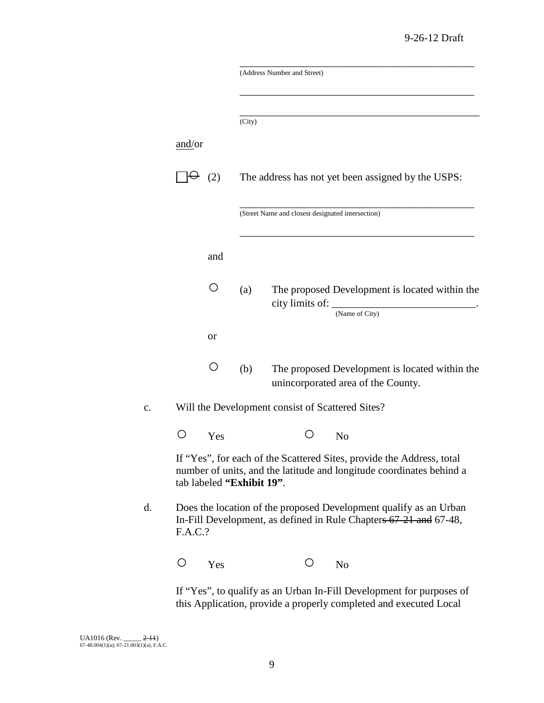| and/or<br>(2)<br>$\left(\ \right)$<br>or<br>O<br>( ) |                           |                                                   |                                                                                                                                               |
|------------------------------------------------------|---------------------------|---------------------------------------------------|-----------------------------------------------------------------------------------------------------------------------------------------------|
|                                                      |                           | (Address Number and Street)                       |                                                                                                                                               |
|                                                      |                           |                                                   |                                                                                                                                               |
|                                                      |                           |                                                   |                                                                                                                                               |
|                                                      | (City)                    |                                                   |                                                                                                                                               |
|                                                      |                           |                                                   |                                                                                                                                               |
|                                                      |                           |                                                   | The address has not yet been assigned by the USPS:                                                                                            |
|                                                      |                           | (Street Name and closest designated intersection) |                                                                                                                                               |
|                                                      | and                       |                                                   |                                                                                                                                               |
|                                                      | (a)                       |                                                   | The proposed Development is located within the<br>(Name of City)                                                                              |
|                                                      |                           |                                                   |                                                                                                                                               |
|                                                      | (b)                       |                                                   | The proposed Development is located within the<br>unincorporated area of the County.                                                          |
|                                                      |                           | Will the Development consist of Scattered Sites?  |                                                                                                                                               |
|                                                      | Yes                       | ( )                                               | N <sub>0</sub>                                                                                                                                |
|                                                      | tab labeled "Exhibit 19". |                                                   | If "Yes", for each of the Scattered Sites, provide the Address, total<br>number of units, and the latitude and longitude coordinates behind a |
| F.A.C.?                                              |                           |                                                   | Does the location of the proposed Development qualify as an Urban<br>In-Fill Development, as defined in Rule Chapters 67-21 and 67-48,        |
| O                                                    | Yes                       | $\left(\ \right)$                                 | N <sub>o</sub>                                                                                                                                |

this Application, provide a properly completed and executed Local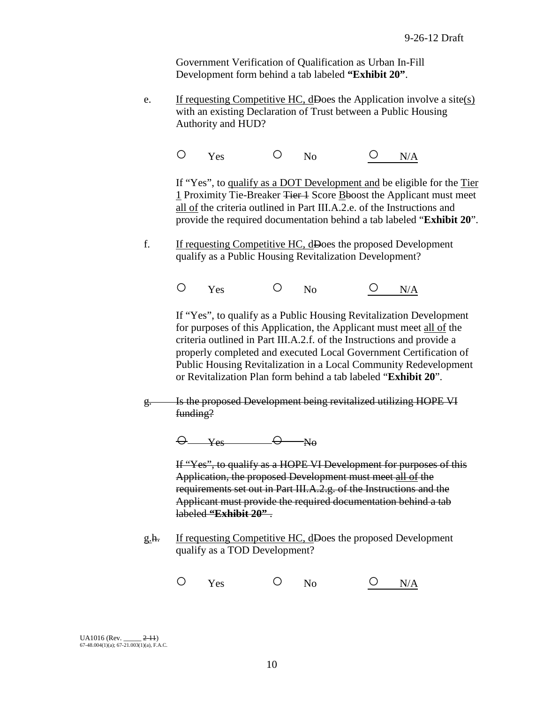Government Verification of Qualification as Urban In-Fill Development form behind a tab labeled **"Exhibit 20"**.

e. If requesting Competitive HC, dDoes the Application involve a site(s) with an existing Declaration of Trust between a Public Housing Authority and HUD?

O Yes O No <u>O N/A</u>

If "Yes", to qualify as a DOT Development and be eligible for the Tier 1 Proximity Tie-Breaker Tier 1 Score Bboost the Applicant must meet all of the criteria outlined in Part III.A.2.e. of the Instructions and provide the required documentation behind a tab labeled "**Exhibit 20**".

f. If requesting Competitive HC, dDoes the proposed Development qualify as a Public Housing Revitalization Development?

O Yes O No <u>O N/A</u>

If "Yes", to qualify as a Public Housing Revitalization Development for purposes of this Application, the Applicant must meet all of the criteria outlined in Part III.A.2.f. of the Instructions and provide a properly completed and executed Local Government Certification of Public Housing Revitalization in a Local Community Redevelopment or Revitalization Plan form behind a tab labeled "**Exhibit 20**".

g. Is the proposed Development being revitalized utilizing HOPE VI funding?

 $\Theta$   $Y_{es}$   $\Theta$   $N_{\theta}$ 

If "Yes", to qualify as a HOPE VI Development for purposes of this Application, the proposed Development must meet all of the requirements set out in Part III.A.2.g. of the Instructions and the Applicant must provide the required documentation behind a tab labeled **"Exhibit 20"** .

g.h. If requesting Competitive HC, dDoes the proposed Development qualify as a TOD Development?

O Yes O No <u>O N/A</u>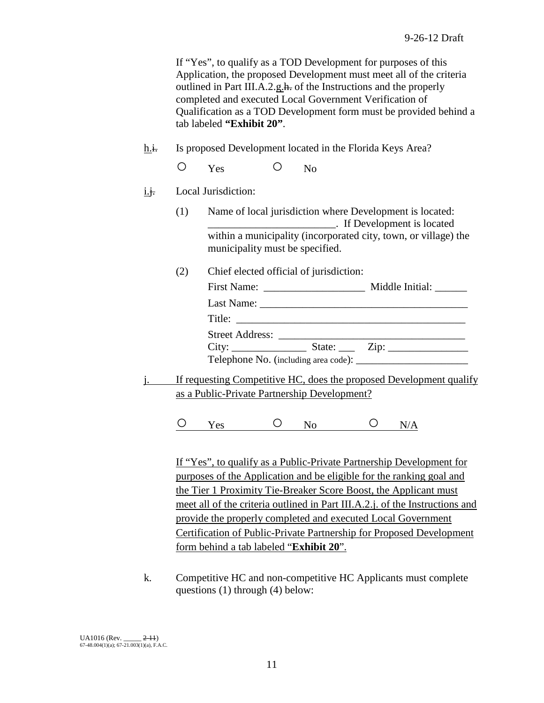If "Yes", to qualify as a TOD Development for purposes of this Application, the proposed Development must meet all of the criteria outlined in Part III.A.2.g.h. of the Instructions and the properly completed and executed Local Government Verification of Qualification as a TOD Development form must be provided behind a tab labeled **"Exhibit 20"**.

h.i. Is proposed Development located in the Florida Keys Area?

O Yes O No

 $i.$ **i.** Local Jurisdiction:

(1) Name of local jurisdiction where Development is located: \_\_\_\_\_\_\_\_\_\_\_\_\_\_\_\_\_\_\_\_\_\_\_\_. If Development is located within a municipality (incorporated city, town, or village) the municipality must be specified.

(2) Chief elected official of jurisdiction:

|                        | Middle Initial: |
|------------------------|-----------------|
|                        |                 |
| Title: $\qquad \qquad$ |                 |
| Street Address:        |                 |
|                        |                 |
|                        |                 |

j. If requesting Competitive HC, does the proposed Development qualify as a Public-Private Partnership Development?

 $O$   $Y_{\text{es}}$   $O$   $N_O$   $O$   $N/A$ 

If "Yes", to qualify as a Public-Private Partnership Development for purposes of the Application and be eligible for the ranking goal and the Tier 1 Proximity Tie-Breaker Score Boost, the Applicant must meet all of the criteria outlined in Part III.A.2.j. of the Instructions and provide the properly completed and executed Local Government Certification of Public-Private Partnership for Proposed Development form behind a tab labeled "**Exhibit 20**".

k. Competitive HC and non-competitive HC Applicants must complete questions (1) through (4) below: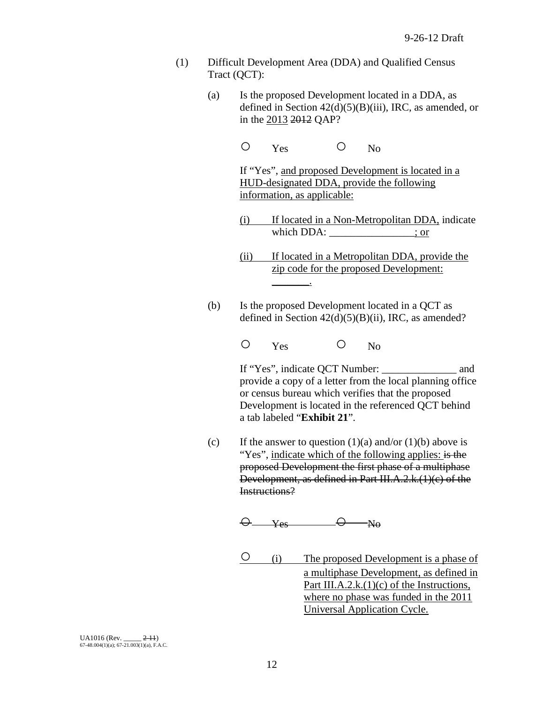- (1) Difficult Development Area (DDA) and Qualified Census Tract (QCT):
	- (a) Is the proposed Development located in a DDA, as defined in Section 42(d)(5)(B)(iii), IRC, as amended, or in the 2013 2012 QAP?
		- O Yes O No

If "Yes", and proposed Development is located in a HUD-designated DDA, provide the following information, as applicable:

- (i) If located in a Non-Metropolitan DDA, indicate which DDA:  $\qquad \qquad$  ; or
- (ii) If located in a Metropolitan DDA, provide the zip code for the proposed Development:
- (b) Is the proposed Development located in a QCT as defined in Section  $42(d)(5)(B)(ii)$ , IRC, as amended?
	- O Yes O No

\_\_\_\_\_\_\_.

If "Yes", indicate QCT Number: and provide a copy of a letter from the local planning office or census bureau which verifies that the proposed Development is located in the referenced QCT behind a tab labeled "**Exhibit 21**".

(c) If the answer to question  $(1)(a)$  and/or  $(1)(b)$  above is "Yes", indicate which of the following applies: is the proposed Development the first phase of a multiphase Development, as defined in Part III.A.2.k.(1)(c) of the Instructions?

 $\Theta$  Yes  $\Theta$  No

○ (i) The proposed Development is a phase of a multiphase Development, as defined in Part III.A.2.k. $(1)(c)$  of the Instructions, where no phase was funded in the 2011 Universal Application Cycle.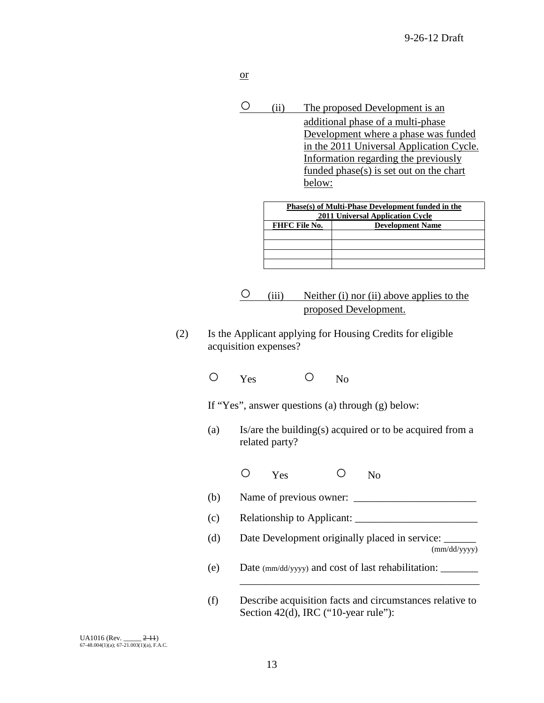- or
- (ii) The proposed Development is an additional phase of a multi-phase Development where a phase was funded in the 2011 Universal Application Cycle. Information regarding the previously funded phase(s) is set out on the chart below:

| Phase(s) of Multi-Phase Development funded in the<br><b>2011 Universal Application Cycle</b> |                         |  |  |  |
|----------------------------------------------------------------------------------------------|-------------------------|--|--|--|
| <b>FHFC File No.</b>                                                                         | <b>Development Name</b> |  |  |  |
|                                                                                              |                         |  |  |  |
|                                                                                              |                         |  |  |  |
|                                                                                              |                         |  |  |  |
|                                                                                              |                         |  |  |  |

- $\overline{O}$  (iii) Neither (i) nor (ii) above applies to the proposed Development.
- (2) Is the Applicant applying for Housing Credits for eligible acquisition expenses?
	- O Yes O No

If "Yes", answer questions (a) through (g) below:

- (a) Is/are the building(s) acquired or to be acquired from a related party?
	- O Yes O No
- (b) Name of previous owner:  $\frac{1}{2}$
- (c) Relationship to Applicant: \_\_\_\_\_\_\_\_\_\_\_\_\_\_\_\_\_\_\_\_\_\_\_
- (d) Date Development originally placed in service: \_\_\_\_\_\_\_

(mm/dd/yyyy)

- (e) Date (mm/dd/yyyy) and cost of last rehabilitation: \_\_\_\_\_\_\_
- (f) Describe acquisition facts and circumstances relative to Section 42(d), IRC ("10-year rule"):

\_\_\_\_\_\_\_\_\_\_\_\_\_\_\_\_\_\_\_\_\_\_\_\_\_\_\_\_\_\_\_\_\_\_\_\_\_\_\_\_\_\_\_\_\_

UA1016 (Rev. \_\_\_\_\_ <del>2-11</del>)<br>67-48.004(1)(a); 67-21.003(1)(a), F.A.C.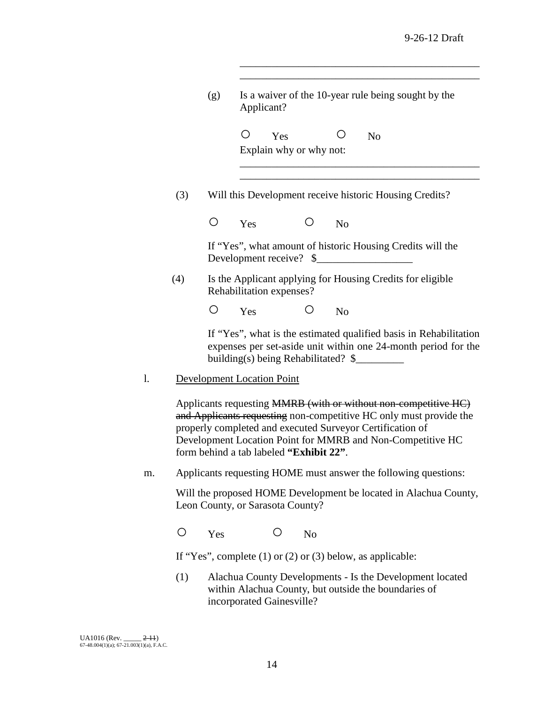\_\_\_\_\_\_\_\_\_\_\_\_\_\_\_\_\_\_\_\_\_\_\_\_\_\_\_\_\_\_\_\_\_\_\_\_\_\_\_\_\_\_\_\_\_

|    |     | (g)             | Applicant?                              |                         |                | Is a waiver of the 10-year rule being sought by the                                                                                                                                                                                                              |
|----|-----|-----------------|-----------------------------------------|-------------------------|----------------|------------------------------------------------------------------------------------------------------------------------------------------------------------------------------------------------------------------------------------------------------------------|
|    |     |                 | O<br>Yes                                | Explain why or why not: |                | N <sub>o</sub>                                                                                                                                                                                                                                                   |
|    | (3) |                 |                                         |                         |                | Will this Development receive historic Housing Credits?                                                                                                                                                                                                          |
|    |     | $\left(\right)$ | Yes                                     | O                       | N <sub>o</sub> |                                                                                                                                                                                                                                                                  |
|    |     |                 | Development receive? \$                 |                         |                | If "Yes", what amount of historic Housing Credits will the                                                                                                                                                                                                       |
|    | (4) |                 | Rehabilitation expenses?                |                         |                | Is the Applicant applying for Housing Credits for eligible                                                                                                                                                                                                       |
|    |     | O               | Yes                                     | O                       | No             |                                                                                                                                                                                                                                                                  |
|    |     |                 | building(s) being Rehabilitated? \$     |                         |                | If "Yes", what is the estimated qualified basis in Rehabilitation<br>expenses per set-aside unit within one 24-month period for the                                                                                                                              |
| l. |     |                 | <b>Development Location Point</b>       |                         |                |                                                                                                                                                                                                                                                                  |
|    |     |                 | form behind a tab labeled "Exhibit 22". |                         |                | Applicants requesting MMRB (with or without non-competitive HC)<br>and Applicants requesting non-competitive HC only must provide the<br>properly completed and executed Surveyor Certification of<br>Development Location Point for MMRB and Non-Competitive HC |
| m. |     |                 |                                         |                         |                | Applicants requesting HOME must answer the following questions:                                                                                                                                                                                                  |
|    |     |                 | Leon County, or Sarasota County?        |                         |                | Will the proposed HOME Development be located in Alachua County,                                                                                                                                                                                                 |

O Yes O No

If "Yes", complete (1) or (2) or (3) below, as applicable:

(1) Alachua County Developments - Is the Development located within Alachua County, but outside the boundaries of incorporated Gainesville?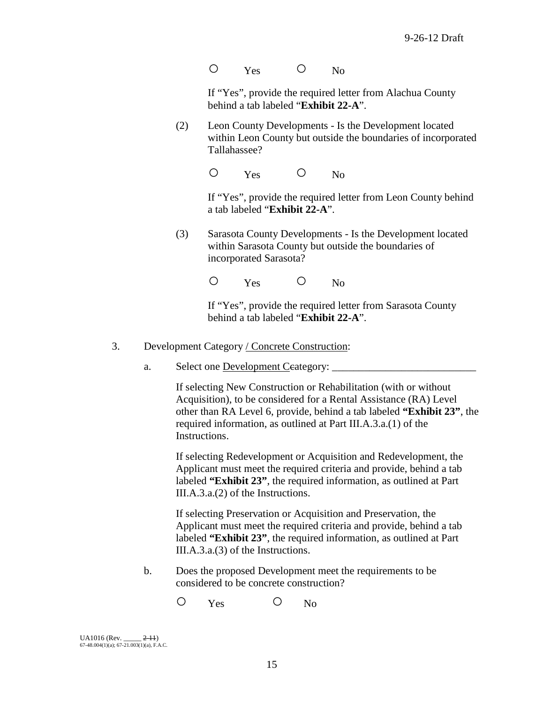O Yes O No

If "Yes", provide the required letter from Alachua County behind a tab labeled "**Exhibit 22-A**".

(2) Leon County Developments - Is the Development located within Leon County but outside the boundaries of incorporated Tallahassee?

O Yes O No

If "Yes", provide the required letter from Leon County behind a tab labeled "**Exhibit 22-A**".

(3) Sarasota County Developments - Is the Development located within Sarasota County but outside the boundaries of incorporated Sarasota?

O Yes O No

If "Yes", provide the required letter from Sarasota County behind a tab labeled "**Exhibit 22-A**".

- 3. Development Category / Concrete Construction:
	- a. Select one Development Ceategory:

If selecting New Construction or Rehabilitation (with or without Acquisition), to be considered for a Rental Assistance (RA) Level other than RA Level 6, provide, behind a tab labeled **"Exhibit 23"**, the required information, as outlined at Part III.A.3.a.(1) of the Instructions.

If selecting Redevelopment or Acquisition and Redevelopment, the Applicant must meet the required criteria and provide, behind a tab labeled **"Exhibit 23"**, the required information, as outlined at Part III.A.3.a.(2) of the Instructions.

If selecting Preservation or Acquisition and Preservation, the Applicant must meet the required criteria and provide, behind a tab labeled **"Exhibit 23"**, the required information, as outlined at Part III.A.3.a.(3) of the Instructions.

b. Does the proposed Development meet the requirements to be considered to be concrete construction?

O Yes O No

 $U_A$ 1016 (Rev.  $2-11$ ) 67-48.004(1)(a); 67-21.003(1)(a), F.A.C.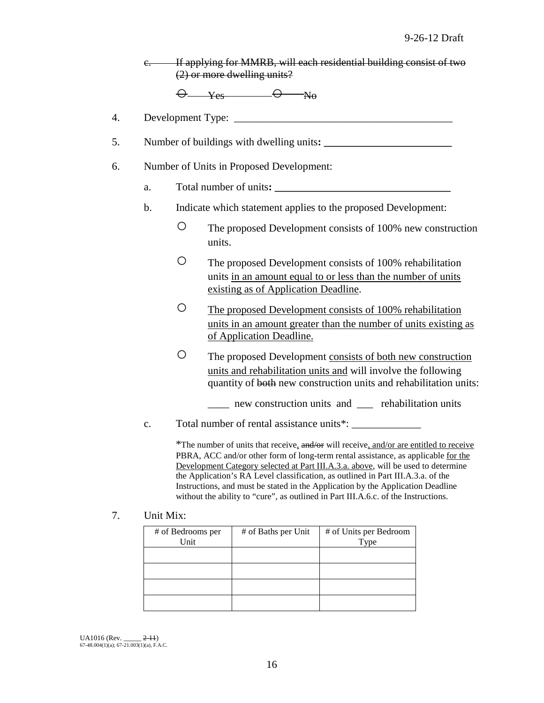|                | e. If applying for MMRB, will each residential building consist of two<br>$(2)$ or more dwelling units?                                                                                                                                                                                                                                                                                                                                                                                                                       |
|----------------|-------------------------------------------------------------------------------------------------------------------------------------------------------------------------------------------------------------------------------------------------------------------------------------------------------------------------------------------------------------------------------------------------------------------------------------------------------------------------------------------------------------------------------|
|                | $\Theta$ yes $\Theta$ No                                                                                                                                                                                                                                                                                                                                                                                                                                                                                                      |
|                |                                                                                                                                                                                                                                                                                                                                                                                                                                                                                                                               |
|                | Number of buildings with dwelling units:                                                                                                                                                                                                                                                                                                                                                                                                                                                                                      |
|                | Number of Units in Proposed Development:                                                                                                                                                                                                                                                                                                                                                                                                                                                                                      |
| a.             | Total number of units:                                                                                                                                                                                                                                                                                                                                                                                                                                                                                                        |
| $\mathbf b$ .  | Indicate which statement applies to the proposed Development:                                                                                                                                                                                                                                                                                                                                                                                                                                                                 |
|                | O<br>The proposed Development consists of 100% new construction<br>units.                                                                                                                                                                                                                                                                                                                                                                                                                                                     |
|                | O<br>The proposed Development consists of 100% rehabilitation<br>units in an amount equal to or less than the number of units<br>existing as of Application Deadline.                                                                                                                                                                                                                                                                                                                                                         |
|                | O<br>The proposed Development consists of 100% rehabilitation<br>units in an amount greater than the number of units existing as<br>of Application Deadline.                                                                                                                                                                                                                                                                                                                                                                  |
|                | O<br>The proposed Development consists of both new construction<br>units and rehabilitation units and will involve the following<br>quantity of both new construction units and rehabilitation units:<br>new construction units and <u>equipped</u> rehabilitation units                                                                                                                                                                                                                                                      |
| $\mathbf{c}$ . |                                                                                                                                                                                                                                                                                                                                                                                                                                                                                                                               |
|                | *The number of units that receive, and/or will receive, and/or are entitled to receive<br>PBRA, ACC and/or other form of long-term rental assistance, as applicable for the<br>Development Category selected at Part III.A.3.a. above, will be used to determine<br>the Application's RA Level classification, as outlined in Part III.A.3.a. of the<br>Instructions, and must be stated in the Application by the Application Deadline<br>without the ability to "cure", as outlined in Part III.A.6.c. of the Instructions. |

7. Unit Mix:

| # of Bedrooms per<br>Unit | # of Baths per Unit | # of Units per Bedroom<br>Type |
|---------------------------|---------------------|--------------------------------|
|                           |                     |                                |
|                           |                     |                                |
|                           |                     |                                |
|                           |                     |                                |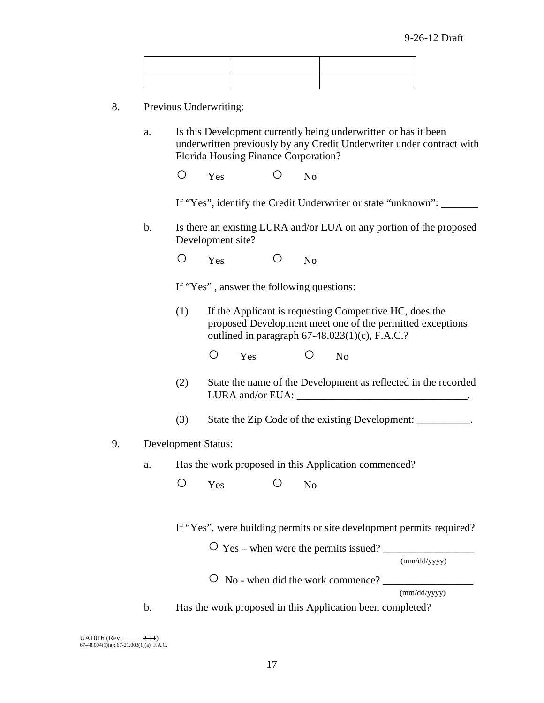- 8. Previous Underwriting:
	- a. Is this Development currently being underwritten or has it been underwritten previously by any Credit Underwriter under contract with Florida Housing Finance Corporation?
		- O Yes O No

If "Yes", identify the Credit Underwriter or state "unknown":

b. Is there an existing LURA and/or EUA on any portion of the proposed Development site?

O Yes O No

If "Yes" , answer the following questions:

(1) If the Applicant is requesting Competitive HC, does the proposed Development meet one of the permitted exceptions outlined in paragraph 67-48.023(1)(c), F.A.C.?

O Yes O No

- (2) State the name of the Development as reflected in the recorded LURA and/or EUA: \_\_\_\_\_\_\_\_\_\_\_\_\_\_\_\_\_\_\_\_\_\_\_\_\_\_\_\_\_\_\_\_\_\_.
- (3) State the Zip Code of the existing Development: \_\_\_\_\_\_\_\_\_\_.
- 9. Development Status:
	- a. Has the work proposed in this Application commenced?

O Yes O No

If "Yes", were building permits or site development permits required?

○ Yes – when were the permits issued? \_\_\_\_\_\_\_\_\_\_\_\_\_\_\_\_\_

(mm/dd/yyyy)

 $\overline{O}$  No - when did the work commence?

(mm/dd/yyyy)

b. Has the work proposed in this Application been completed?

UA1016 (Rev. \_\_\_\_\_ <del>2-11</del>)<br>67-48.004(1)(a); 67-21.003(1)(a), F.A.C.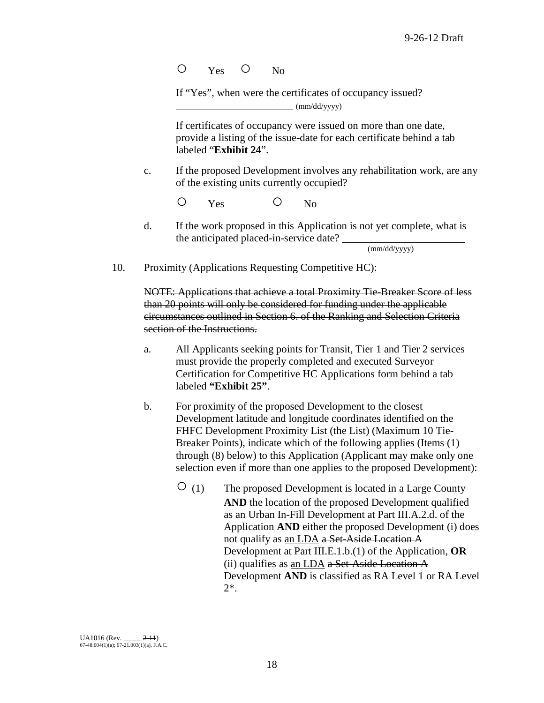O Yes O No

If "Yes", when were the certificates of occupancy issued?  $(mm/dd/vyyy)$ 

If certificates of occupancy were issued on more than one date, provide a listing of the issue-date for each certificate behind a tab labeled "**Exhibit 24**".

c. If the proposed Development involves any rehabilitation work, are any of the existing units currently occupied?

O Yes O No

d. If the work proposed in this Application is not yet complete, what is the anticipated placed-in-service date?

(mm/dd/yyyy)

10. Proximity (Applications Requesting Competitive HC):

NOTE: Applications that achieve a total Proximity Tie-Breaker Score of less than 20 points will only be considered for funding under the applicable circumstances outlined in Section 6. of the Ranking and Selection Criteria section of the Instructions.

- a. All Applicants seeking points for Transit, Tier 1 and Tier 2 services must provide the properly completed and executed Surveyor Certification for Competitive HC Applications form behind a tab labeled **"Exhibit 25"**.
- b. For proximity of the proposed Development to the closest Development latitude and longitude coordinates identified on the FHFC Development Proximity List (the List) (Maximum 10 Tie-Breaker Points), indicate which of the following applies (Items (1) through (8) below) to this Application (Applicant may make only one selection even if more than one applies to the proposed Development):
	- $\overline{O}$  (1) The proposed Development is located in a Large County **AND** the location of the proposed Development qualified as an Urban In-Fill Development at Part III.A.2.d. of the Application **AND** either the proposed Development (i) does not qualify as an LDA a Set-Aside Location A Development at Part III.E.1.b.(1) of the Application, **OR** (ii) qualifies as an LDA a Set-Aside Location A Development **AND** is classified as RA Level 1 or RA Level 2\*.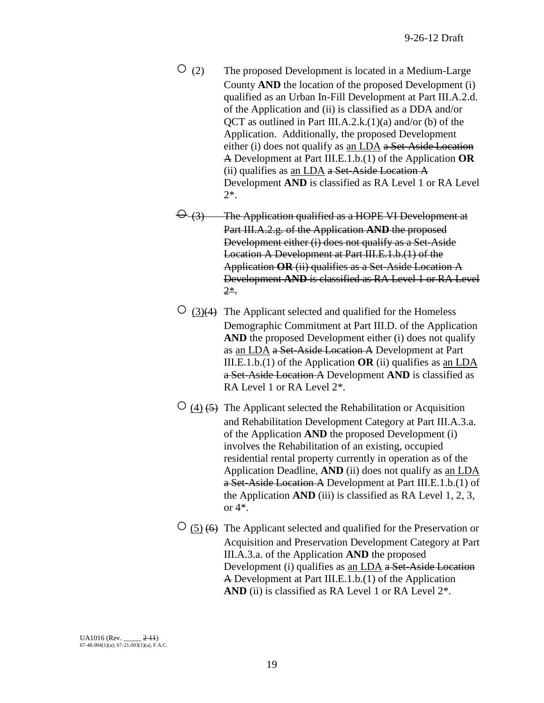- $\overline{O}$  (2) The proposed Development is located in a Medium-Large County **AND** the location of the proposed Development (i) qualified as an Urban In-Fill Development at Part III.A.2.d. of the Application and (ii) is classified as a DDA and/or QCT as outlined in Part III.A.2.k. $(1)(a)$  and/or (b) of the Application. Additionally, the proposed Development either (i) does not qualify as an LDA a Set-Aside Location A Development at Part III.E.1.b.(1) of the Application **OR** (ii) qualifies as an LDA a Set-Aside Location A Development **AND** is classified as RA Level 1 or RA Level 2\*.
- $\Theta$  (3) The Application qualified as a HOPE VI Development at Part III.A.2.g. of the Application **AND** the proposed Development either (i) does not qualify as a Set-Aside Location A Development at Part III.E.1.b.(1) of the Application **OR** (ii) qualifies as a Set-Aside Location A Development **AND** is classified as RA Level 1 or RA Level 2\*.
- $\circ$  (3)(4) The Applicant selected and qualified for the Homeless Demographic Commitment at Part III.D. of the Application **AND** the proposed Development either (i) does not qualify as an LDA a Set-Aside Location A Development at Part III.E.1.b.(1) of the Application **OR** (ii) qualifies as an LDA a Set-Aside Location A Development **AND** is classified as RA Level 1 or RA Level 2\*.
- $\circ$  (4) (5) The Applicant selected the Rehabilitation or Acquisition and Rehabilitation Development Category at Part III.A.3.a. of the Application **AND** the proposed Development (i) involves the Rehabilitation of an existing, occupied residential rental property currently in operation as of the Application Deadline, **AND** (ii) does not qualify as an LDA a Set-Aside Location A Development at Part III.E.1.b.(1) of the Application **AND** (iii) is classified as RA Level 1, 2, 3, or 4\*.
- $\circ$  (5) (6) The Applicant selected and qualified for the Preservation or Acquisition and Preservation Development Category at Part III.A.3.a. of the Application **AND** the proposed Development (i) qualifies as an LDA a Set-Aside Location A Development at Part III.E.1.b.(1) of the Application AND (ii) is classified as RA Level 1 or RA Level  $2^*$ .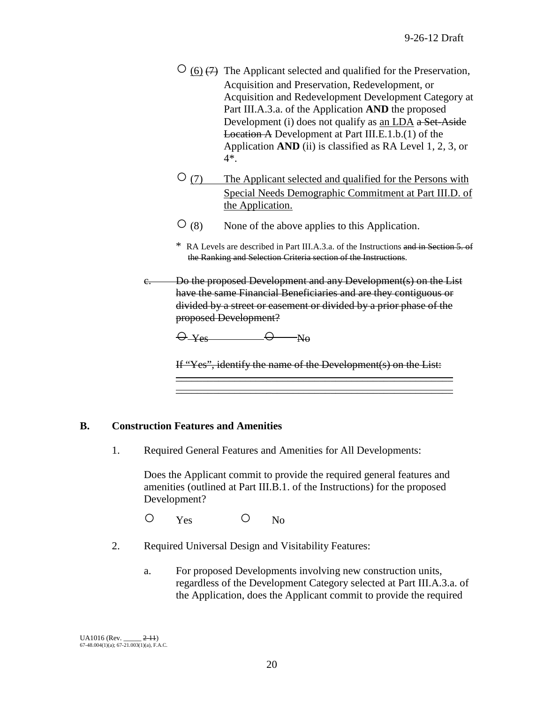- $\circ$  (6)  $\leftrightarrow$  The Applicant selected and qualified for the Preservation, Acquisition and Preservation, Redevelopment, or Acquisition and Redevelopment Development Category at Part III.A.3.a. of the Application **AND** the proposed Development (i) does not qualify as an LDA a Set-Aside Location A Development at Part III.E.1.b.(1) of the Application **AND** (ii) is classified as RA Level 1, 2, 3, or 4\*.
- ○(7) The Applicant selected and qualified for the Persons with Special Needs Demographic Commitment at Part III.D. of the Application.
- $\overline{O}(8)$  None of the above applies to this Application.
- \* RA Levels are described in Part III.A.3.a. of the Instructions and in Section 5. of the Ranking and Selection Criteria section of the Instructions.
- c. Do the proposed Development and any Development(s) on the List have the same Financial Beneficiaries and are they contiguous or divided by a street or easement or divided by a prior phase of the proposed Development?

$$
\Theta_{\text{--}\text{Yes}} \hspace{2.5cm} \Theta_{\text{--}\text{--}\text{No}}
$$

If "Yes", identify the name of the Development(s) on the List:  $\overline{\phantom{a}}$  ,  $\overline{\phantom{a}}$  ,  $\overline{\phantom{a}}$  ,  $\overline{\phantom{a}}$  ,  $\overline{\phantom{a}}$  ,  $\overline{\phantom{a}}$  ,  $\overline{\phantom{a}}$  ,  $\overline{\phantom{a}}$  ,  $\overline{\phantom{a}}$  ,  $\overline{\phantom{a}}$  ,  $\overline{\phantom{a}}$  ,  $\overline{\phantom{a}}$  ,  $\overline{\phantom{a}}$  ,  $\overline{\phantom{a}}$  ,  $\overline{\phantom{a}}$  ,  $\overline{\phantom{a}}$ 

 $\overline{\phantom{a}}$  ,  $\overline{\phantom{a}}$  ,  $\overline{\phantom{a}}$  ,  $\overline{\phantom{a}}$  ,  $\overline{\phantom{a}}$  ,  $\overline{\phantom{a}}$  ,  $\overline{\phantom{a}}$  ,  $\overline{\phantom{a}}$  ,  $\overline{\phantom{a}}$  ,  $\overline{\phantom{a}}$  ,  $\overline{\phantom{a}}$  ,  $\overline{\phantom{a}}$  ,  $\overline{\phantom{a}}$  ,  $\overline{\phantom{a}}$  ,  $\overline{\phantom{a}}$  ,  $\overline{\phantom{a}}$ 

#### **B. Construction Features and Amenities**

1. Required General Features and Amenities for All Developments:

Does the Applicant commit to provide the required general features and amenities (outlined at Part III.B.1. of the Instructions) for the proposed Development?

O Yes O No

- 2. Required Universal Design and Visitability Features:
	- a. For proposed Developments involving new construction units, regardless of the Development Category selected at Part III.A.3.a. of the Application, does the Applicant commit to provide the required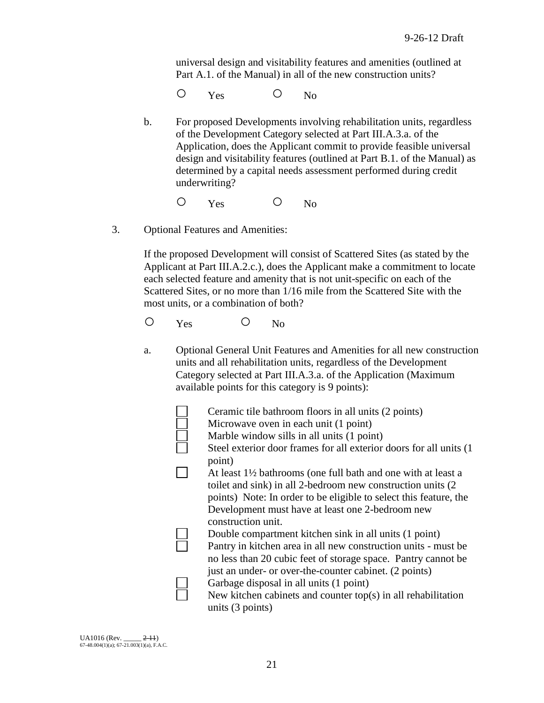universal design and visitability features and amenities (outlined at Part A.1. of the Manual) in all of the new construction units?

O Yes O No

b. For proposed Developments involving rehabilitation units, regardless of the Development Category selected at Part III.A.3.a. of the Application, does the Applicant commit to provide feasible universal design and visitability features (outlined at Part B.1. of the Manual) as determined by a capital needs assessment performed during credit underwriting?

O Yes O No

3. Optional Features and Amenities:

If the proposed Development will consist of Scattered Sites (as stated by the Applicant at Part III.A.2.c.), does the Applicant make a commitment to locate each selected feature and amenity that is not unit-specific on each of the Scattered Sites, or no more than 1/16 mile from the Scattered Site with the most units, or a combination of both?

O Yes O No

a. Optional General Unit Features and Amenities for all new construction units and all rehabilitation units, regardless of the Development Category selected at Part III.A.3.a. of the Application (Maximum available points for this category is 9 points):

| Ceramic tile bathroom floors in all units (2 points)<br>Microwave oven in each unit (1 point)<br>Marble window sills in all units (1 point) |
|---------------------------------------------------------------------------------------------------------------------------------------------|
|                                                                                                                                             |
| Steel exterior door frames for all exterior doors for all units (1)                                                                         |
| point)                                                                                                                                      |
| At least $1\frac{1}{2}$ bathrooms (one full bath and one with at least a                                                                    |
| toilet and sink) in all 2-bedroom new construction units (2)                                                                                |
| points) Note: In order to be eligible to select this feature, the                                                                           |
| Development must have at least one 2-bedroom new                                                                                            |
| construction unit.                                                                                                                          |
| Double compartment kitchen sink in all units (1 point)                                                                                      |
| Pantry in kitchen area in all new construction units - must be                                                                              |
| no less than 20 cubic feet of storage space. Pantry cannot be                                                                               |
| just an under- or over-the-counter cabinet. (2 points)                                                                                      |
| Garbage disposal in all units (1 point)                                                                                                     |
| New kitchen cabinets and counter $top(s)$ in all rehabilitation                                                                             |
| units $(3 \text{ points})$                                                                                                                  |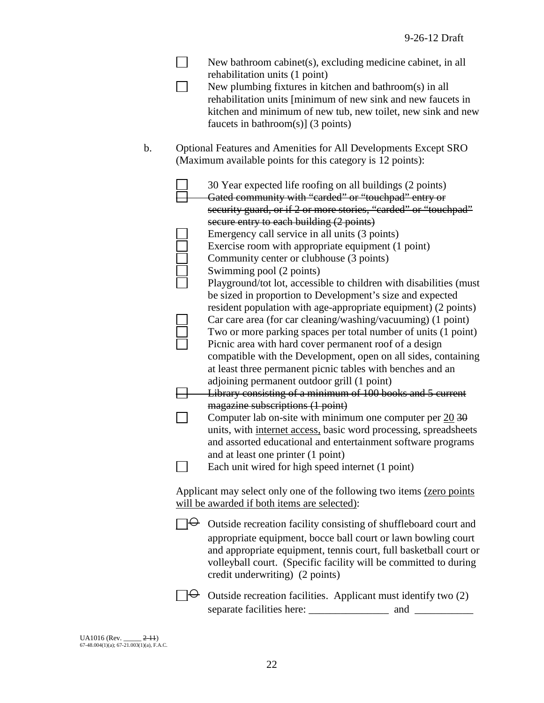| New bathroom cabinet(s), excluding medicine cabinet, in all<br>rehabilitation units (1 point)<br>New plumbing fixtures in kitchen and bathroom(s) in all<br>rehabilitation units [minimum of new sink and new faucets in<br>kitchen and minimum of new tub, new toilet, new sink and new<br>faucets in bathroom(s)] $(3 \text{ points})$                                |
|-------------------------------------------------------------------------------------------------------------------------------------------------------------------------------------------------------------------------------------------------------------------------------------------------------------------------------------------------------------------------|
| Optional Features and Amenities for All Developments Except SRO<br>(Maximum available points for this category is 12 points):                                                                                                                                                                                                                                           |
| 30 Year expected life roofing on all buildings (2 points)<br>Gated community with "carded" or "touchpad" entry or<br>security guard, or if 2 or more stories, "carded" or "touchpad"<br>secure entry to each building (2 points)                                                                                                                                        |
| Emergency call service in all units (3 points)<br>Exercise room with appropriate equipment (1 point)<br>Community center or clubhouse (3 points)                                                                                                                                                                                                                        |
| Swimming pool (2 points)<br>Playground/tot lot, accessible to children with disabilities (must<br>be sized in proportion to Development's size and expected<br>resident population with age-appropriate equipment) (2 points)                                                                                                                                           |
| Car care area (for car cleaning/washing/vacuuming) (1 point)<br>Two or more parking spaces per total number of units (1 point)<br>Picnic area with hard cover permanent roof of a design<br>compatible with the Development, open on all sides, containing<br>at least three permanent picnic tables with benches and an<br>adjoining permanent outdoor grill (1 point) |
| Library consisting of a minimum of 100 books and 5 current<br>magazine subscriptions (1 point)<br>Computer lab on-site with minimum one computer per $20\overline{30}$                                                                                                                                                                                                  |
| units, with internet access, basic word processing, spreadsheets<br>and assorted educational and entertainment software programs<br>and at least one printer (1 point)                                                                                                                                                                                                  |
| Each unit wired for high speed internet (1 point)<br>Applicant may select only one of the following two items (zero points)<br>will be awarded if both items are selected):                                                                                                                                                                                             |
| $\forall$ Outside recreation facility consisting of shuffleboard court and<br>appropriate equipment, bocce ball court or lawn bowling court<br>and appropriate equipment, tennis court, full basketball court or<br>volleyball court. (Specific facility will be committed to during<br>credit underwriting) (2 points)                                                 |
| Outside recreation facilities. Applicant must identify two (2)                                                                                                                                                                                                                                                                                                          |
|                                                                                                                                                                                                                                                                                                                                                                         |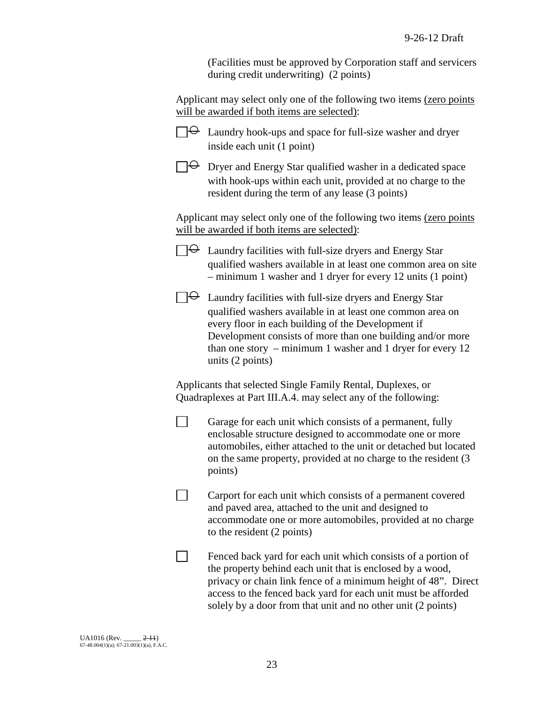(Facilities must be approved by Corporation staff and servicers during credit underwriting) (2 points)

Applicant may select only one of the following two items (zero points will be awarded if both items are selected):

| $\Theta$ Laundry hook-ups and space for full-size washer and dryer |
|--------------------------------------------------------------------|
| inside each unit (1 point)                                         |

 $\Box \Theta$  Dryer and Energy Star qualified washer in a dedicated space with hook-ups within each unit, provided at no charge to the resident during the term of any lease (3 points)

Applicant may select only one of the following two items (zero points will be awarded if both items are selected):

 $\Theta$  Laundry facilities with full-size dryers and Energy Star qualified washers available in at least one common area on site – minimum 1 washer and 1 dryer for every 12 units (1 point)



 $\Box$ 

 $\Box$ 

 $\Box \Theta$  Laundry facilities with full-size dryers and Energy Star qualified washers available in at least one common area on every floor in each building of the Development if Development consists of more than one building and/or more than one story – minimum 1 washer and 1 dryer for every 12 units (2 points)

Applicants that selected Single Family Rental, Duplexes, or Quadraplexes at Part III.A.4. may select any of the following:

Garage for each unit which consists of a permanent, fully enclosable structure designed to accommodate one or more automobiles, either attached to the unit or detached but located on the same property, provided at no charge to the resident (3 points)

 $\Box$ Carport for each unit which consists of a permanent covered and paved area, attached to the unit and designed to accommodate one or more automobiles, provided at no charge to the resident (2 points)

Fenced back yard for each unit which consists of a portion of the property behind each unit that is enclosed by a wood, privacy or chain link fence of a minimum height of 48". Direct access to the fenced back yard for each unit must be afforded solely by a door from that unit and no other unit (2 points)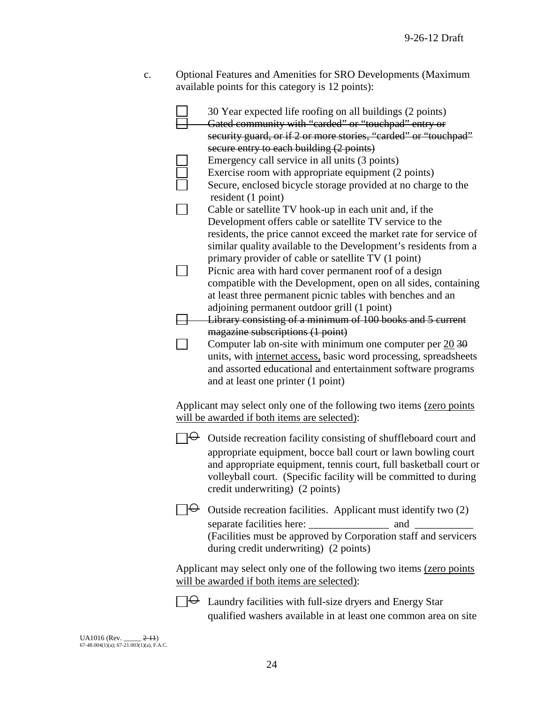c. Optional Features and Amenities for SRO Developments (Maximum available points for this category is 12 points):

| 30 Year expected life roofing on all buildings (2 points)<br>Gated community with "carded" or "touchpad" entry or<br>security guard, or if 2 or more stories, "carded" or "touchpad" |
|--------------------------------------------------------------------------------------------------------------------------------------------------------------------------------------|
| secure entry to each building (2 points)                                                                                                                                             |
| Emergency call service in all units (3 points)<br>Exercise room with appropriate equipment (2 points)                                                                                |
| Secure, enclosed bicycle storage provided at no charge to the                                                                                                                        |
| resident (1 point)                                                                                                                                                                   |
| Cable or satellite TV hook-up in each unit and, if the                                                                                                                               |
| Development offers cable or satellite TV service to the                                                                                                                              |
| residents, the price cannot exceed the market rate for service of                                                                                                                    |
| similar quality available to the Development's residents from a                                                                                                                      |
| primary provider of cable or satellite TV (1 point)                                                                                                                                  |
| Picnic area with hard cover permanent roof of a design                                                                                                                               |
| compatible with the Development, open on all sides, containing                                                                                                                       |
| at least three permanent picnic tables with benches and an                                                                                                                           |
| adjoining permanent outdoor grill (1 point)                                                                                                                                          |
| Library consisting of a minimum of 100 books and 5 current<br>magazine subscriptions (1 point)                                                                                       |
| Computer lab on-site with minimum one computer per $20\overline{30}$                                                                                                                 |
| units, with internet access, basic word processing, spreadsheets                                                                                                                     |
| and assorted educational and entertainment software programs                                                                                                                         |
| and at least one printer (1 point)                                                                                                                                                   |
|                                                                                                                                                                                      |
| Applicant may select only one of the following two items (zero points                                                                                                                |
| will be awarded if both items are selected):                                                                                                                                         |
| Outside recreation facility consisting of shuffleboard court and                                                                                                                     |
| appropriate equipment, bocce ball court or lawn bowling court                                                                                                                        |
| and appropriate equipment, tennis court, full basketball court or                                                                                                                    |
|                                                                                                                                                                                      |
| volleyball court. (Specific facility will be committed to during                                                                                                                     |
| credit underwriting) (2 points)                                                                                                                                                      |
|                                                                                                                                                                                      |
| $\Theta$ Outside recreation facilities. Applicant must identify two (2)                                                                                                              |
|                                                                                                                                                                                      |
| (Facilities must be approved by Corporation staff and servicers                                                                                                                      |
| during credit underwriting) (2 points)                                                                                                                                               |
| Applicant may select only one of the following two items (zero points                                                                                                                |
| will be awarded if both items are selected):                                                                                                                                         |
| $\Theta$ Laundry facilities with full-size dryers and Energy Star                                                                                                                    |
| qualified washers available in at least one common area on site                                                                                                                      |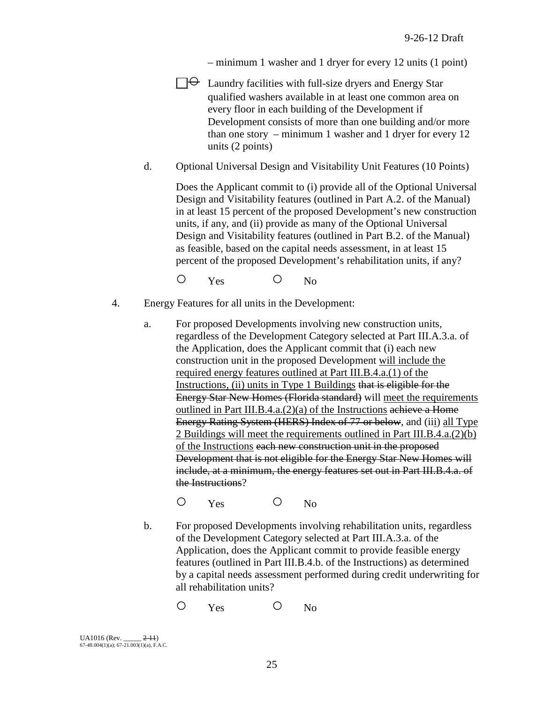– minimum 1 washer and 1 dryer for every 12 units (1 point)

- $\exists \Theta$  Laundry facilities with full-size dryers and Energy Star qualified washers available in at least one common area on every floor in each building of the Development if Development consists of more than one building and/or more than one story – minimum 1 washer and 1 dryer for every 12 units (2 points)
- d. Optional Universal Design and Visitability Unit Features (10 Points)

Does the Applicant commit to (i) provide all of the Optional Universal Design and Visitability features (outlined in Part A.2. of the Manual) in at least 15 percent of the proposed Development's new construction units, if any, and (ii) provide as many of the Optional Universal Design and Visitability features (outlined in Part B.2. of the Manual) as feasible, based on the capital needs assessment, in at least 15 percent of the proposed Development's rehabilitation units, if any?

O Yes O No

- 4. Energy Features for all units in the Development:
	- a. For proposed Developments involving new construction units, regardless of the Development Category selected at Part III.A.3.a. of the Application, does the Applicant commit that (i) each new construction unit in the proposed Development will include the required energy features outlined at Part III.B.4.a.(1) of the Instructions, (ii) units in Type 1 Buildings that is eligible for the Energy Star New Homes (Florida standard) will meet the requirements outlined in Part III.B.4.a.(2)(a) of the Instructions achieve a Home Energy Rating System (HERS) Index of 77 or below, and (iii) all Type 2 Buildings will meet the requirements outlined in Part III.B.4.a.(2)(b) of the Instructions each new construction unit in the proposed Development that is not eligible for the Energy Star New Homes will include, at a minimum, the energy features set out in Part III.B.4.a. of the Instructions?

O Yes O No

b. For proposed Developments involving rehabilitation units, regardless of the Development Category selected at Part III.A.3.a. of the Application, does the Applicant commit to provide feasible energy features (outlined in Part III.B.4.b. of the Instructions) as determined by a capital needs assessment performed during credit underwriting for all rehabilitation units?

O Yes O No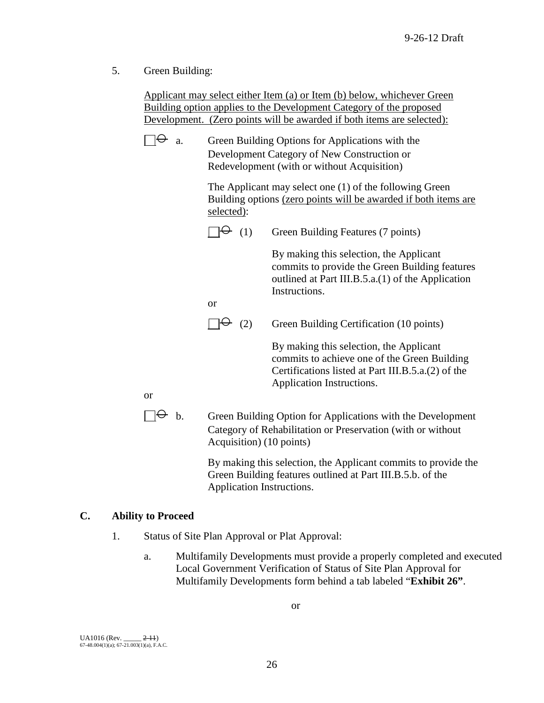5. Green Building:

Applicant may select either Item (a) or Item (b) below, whichever Green Building option applies to the Development Category of the proposed Development. (Zero points will be awarded if both items are selected):

| $\Theta$ a. | Green Building Options for Applications with the |
|-------------|--------------------------------------------------|
|             | Development Category of New Construction or      |
|             | Redevelopment (with or without Acquisition)      |

The Applicant may select one (1) of the following Green Building options (zero points will be awarded if both items are selected):

|    | (1)                      | Green Building Features (7 points)                                                                                                                                         |
|----|--------------------------|----------------------------------------------------------------------------------------------------------------------------------------------------------------------------|
|    |                          | By making this selection, the Applicant<br>commits to provide the Green Building features<br>outlined at Part III.B.5.a.(1) of the Application<br>Instructions.            |
|    | or                       |                                                                                                                                                                            |
|    | (2)                      | Green Building Certification (10 points)                                                                                                                                   |
|    |                          | By making this selection, the Applicant<br>commits to achieve one of the Green Building<br>Certifications listed at Part III.B.5.a.(2) of the<br>Application Instructions. |
| b. | Acquisition) (10 points) | Green Building Option for Applications with the Development<br>Category of Rehabilitation or Preservation (with or without                                                 |

By making this selection, the Applicant commits to provide the Green Building features outlined at Part III.B.5.b. of the Application Instructions.

# **C. Ability to Proceed**

or

- 1. Status of Site Plan Approval or Plat Approval:
	- a. Multifamily Developments must provide a properly completed and executed Local Government Verification of Status of Site Plan Approval for Multifamily Developments form behind a tab labeled "**Exhibit 26"**.

or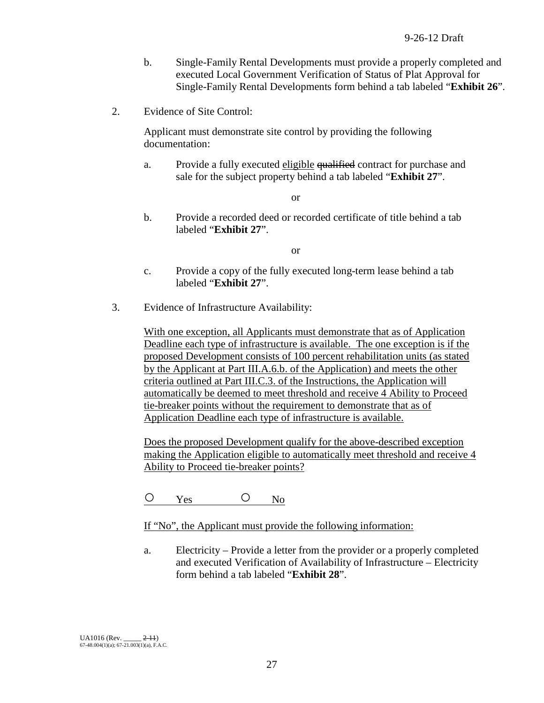- b. Single-Family Rental Developments must provide a properly completed and executed Local Government Verification of Status of Plat Approval for Single-Family Rental Developments form behind a tab labeled "**Exhibit 26**".
- 2. Evidence of Site Control:

Applicant must demonstrate site control by providing the following documentation:

a. Provide a fully executed eligible qualified contract for purchase and sale for the subject property behind a tab labeled "**Exhibit 27**".

or

b. Provide a recorded deed or recorded certificate of title behind a tab labeled "**Exhibit 27**".

or

- c. Provide a copy of the fully executed long-term lease behind a tab labeled "**Exhibit 27**".
- 3. Evidence of Infrastructure Availability:

With one exception, all Applicants must demonstrate that as of Application Deadline each type of infrastructure is available. The one exception is if the proposed Development consists of 100 percent rehabilitation units (as stated by the Applicant at Part III.A.6.b. of the Application) and meets the other criteria outlined at Part III.C.3. of the Instructions, the Application will automatically be deemed to meet threshold and receive 4 Ability to Proceed tie-breaker points without the requirement to demonstrate that as of Application Deadline each type of infrastructure is available.

Does the proposed Development qualify for the above-described exception making the Application eligible to automatically meet threshold and receive 4 Ability to Proceed tie-breaker points?

 $O$   $Y_{\text{es}}$   $O$   $N_0$ 

If "No", the Applicant must provide the following information:

a. Electricity – Provide a letter from the provider or a properly completed and executed Verification of Availability of Infrastructure – Electricity form behind a tab labeled "**Exhibit 28**".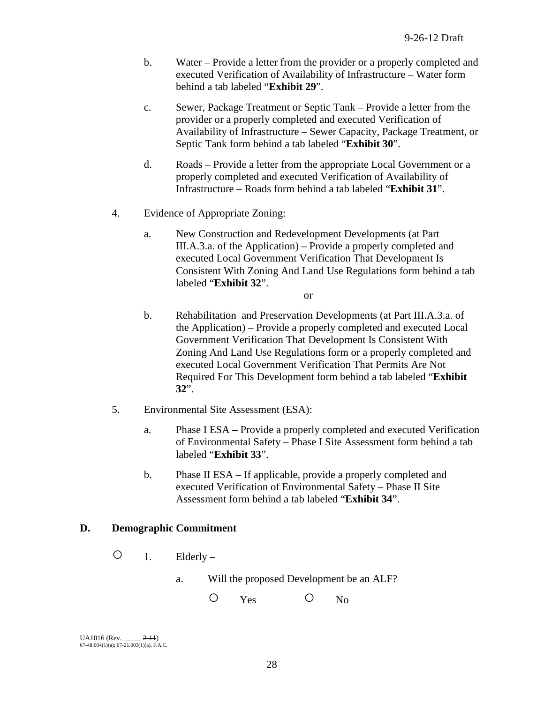- b. Water Provide a letter from the provider or a properly completed and executed Verification of Availability of Infrastructure – Water form behind a tab labeled "**Exhibit 29**".
- c. Sewer, Package Treatment or Septic Tank Provide a letter from the provider or a properly completed and executed Verification of Availability of Infrastructure – Sewer Capacity, Package Treatment, or Septic Tank form behind a tab labeled "**Exhibit 30**".
- d. Roads Provide a letter from the appropriate Local Government or a properly completed and executed Verification of Availability of Infrastructure – Roads form behind a tab labeled "**Exhibit 31**".
- 4. Evidence of Appropriate Zoning:
	- a. New Construction and Redevelopment Developments (at Part III.A.3.a. of the Application) – Provide a properly completed and executed Local Government Verification That Development Is Consistent With Zoning And Land Use Regulations form behind a tab labeled "**Exhibit 32**".

or

- b. Rehabilitation and Preservation Developments (at Part III.A.3.a. of the Application) – Provide a properly completed and executed Local Government Verification That Development Is Consistent With Zoning And Land Use Regulations form or a properly completed and executed Local Government Verification That Permits Are Not Required For This Development form behind a tab labeled "**Exhibit 32**".
- 5. Environmental Site Assessment (ESA):
	- a. Phase I ESA **–** Provide a properly completed and executed Verification of Environmental Safety – Phase I Site Assessment form behind a tab labeled "**Exhibit 33**".
	- b. Phase II ESA If applicable, provide a properly completed and executed Verification of Environmental Safety – Phase II Site Assessment form behind a tab labeled "**Exhibit 34**".

# **D. Demographic Commitment**

- $\bigcirc$  1. Elderly
	- a. Will the proposed Development be an ALF?

O Yes O No

UA1016 (Rev. \_\_\_\_\_ <del>2-11</del>)<br>67-48.004(1)(a); 67-21.003(1)(a), F.A.C.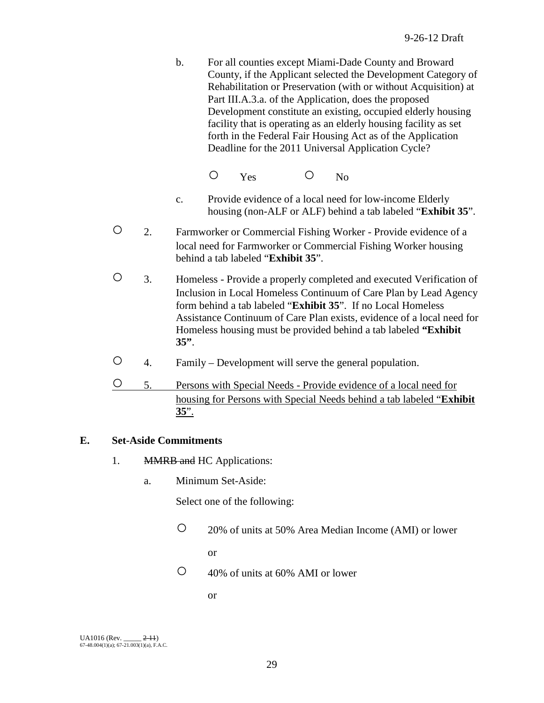- b. For all counties except Miami-Dade County and Broward County, if the Applicant selected the Development Category of Rehabilitation or Preservation (with or without Acquisition) at Part III.A.3.a. of the Application, does the proposed Development constitute an existing, occupied elderly housing facility that is operating as an elderly housing facility as set forth in the Federal Fair Housing Act as of the Application Deadline for the 2011 Universal Application Cycle?
	- O Yes O No
- c. Provide evidence of a local need for low-income Elderly housing (non-ALF or ALF) behind a tab labeled "**Exhibit 35**".
- 2. Farmworker or Commercial Fishing Worker Provide evidence of a local need for Farmworker or Commercial Fishing Worker housing behind a tab labeled "**Exhibit 35**".
- 3. Homeless Provide a properly completed and executed Verification of Inclusion in Local Homeless Continuum of Care Plan by Lead Agency form behind a tab labeled "**Exhibit 35**". If no Local Homeless Assistance Continuum of Care Plan exists, evidence of a local need for Homeless housing must be provided behind a tab labeled **"Exhibit 35"**.
- 4. Family Development will serve the general population.
- 5. Persons with Special Needs Provide evidence of a local need for housing for Persons with Special Needs behind a tab labeled "**Exhibit 35**".

## **E. Set-Aside Commitments**

- 1. MMRB and HC Applications:
	- a. Minimum Set-Aside:

Select one of the following:

○ 20% of units at 50% Area Median Income (AMI) or lower

or

○ 40% of units at 60% AMI or lower

or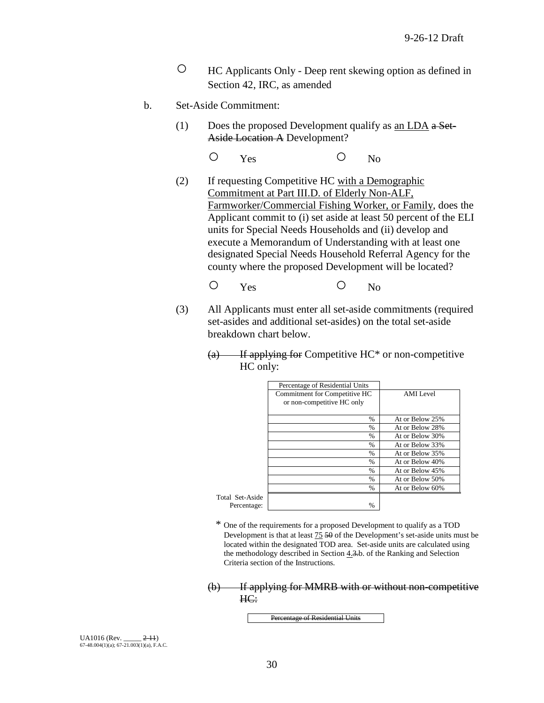- HC Applicants Only Deep rent skewing option as defined in Section 42, IRC, as amended
- b. Set-Aside Commitment:
	- (1) Does the proposed Development qualify as  $\underline{\text{an LDA}}$  a Set-Aside Location A Development?
		- O Yes O No
	- (2) If requesting Competitive HC with a Demographic Commitment at Part III.D. of Elderly Non-ALF, Farmworker/Commercial Fishing Worker, or Family, does the Applicant commit to (i) set aside at least 50 percent of the ELI units for Special Needs Households and (ii) develop and execute a Memorandum of Understanding with at least one designated Special Needs Household Referral Agency for the county where the proposed Development will be located?
		- O Yes O No
	- (3) All Applicants must enter all set-aside commitments (required set-asides and additional set-asides) on the total set-aside breakdown chart below.
		- $(a)$  If applying for Competitive HC\* or non-competitive HC only:

|             | Percentage of Residential Units |                 |
|-------------|---------------------------------|-----------------|
|             | Commitment for Competitive HC   | AMI Level       |
|             | or non-competitive HC only      |                 |
|             |                                 |                 |
|             | $\frac{0}{0}$                   | At or Below 25% |
|             | $\frac{0}{0}$                   | At or Below 28% |
|             | $\frac{0}{0}$                   | At or Below 30% |
|             | %                               | At or Below 33% |
|             | $\%$                            | At or Below 35% |
|             | $\%$                            | At or Below 40% |
|             | $\%$                            | At or Below 45% |
|             | $\frac{0}{0}$                   | At or Below 50% |
|             | %                               | At or Below 60% |
| 1 Set-Aside |                                 |                 |
| Percentage: | %                               |                 |
|             |                                 |                 |

\* One of the requirements for a proposed Development to qualify as a TOD Development is that at least 75 50 of the Development's set-aside units must be located within the designated TOD area. Set-aside units are calculated using the methodology described in Section 4.3.b. of the Ranking and Selection Criteria section of the Instructions.

(b) If applying for MMRB with or without non-competitive HC:

Percentage of Residential Units

 $UA1016$  (Rev.  $2-11$ ) 67-48.004(1)(a); 67-21.003(1)(a), F.A.C. Total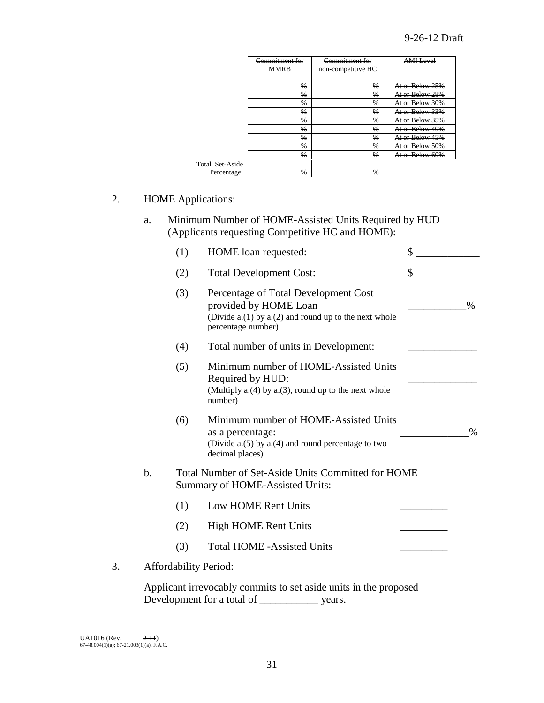|                        | Commitment for<br><b>MMRB</b> | Commitment for<br>non-competitive HC | <b>AMI Level</b> |
|------------------------|-------------------------------|--------------------------------------|------------------|
|                        | %                             | %                                    | At or Below 25%  |
|                        | $\frac{0}{0}$                 | $\frac{0}{0}$                        | At or Below 28%  |
|                        | %                             | %                                    | At or Below 30%  |
|                        | %                             | $\frac{9}{6}$                        | At or Below 33%  |
|                        | %                             | %                                    | At or Below 35%  |
|                        | $\frac{0}{0}$                 | $\frac{0}{6}$                        | At or Below 40%  |
|                        | $\frac{0}{6}$                 | $\frac{0}{6}$                        | At or Below 45%  |
|                        | $\frac{0}{6}$                 | $\frac{0}{6}$                        | At or Below 50%  |
|                        | $\frac{0}{0}$                 | $\frac{0}{6}$                        | At or Below 60%  |
| <b>Total Set-Aside</b> |                               |                                      |                  |
| Percentage:            | $\frac{0}{0}$                 | $\frac{0}{6}$                        |                  |

## 2. HOME Applications:

a. Minimum Number of HOME-Assisted Units Required by HUD (Applicants requesting Competitive HC and HOME):

|    |               | (1)                          | HOME loan requested:                                                                                                                           | \$   |
|----|---------------|------------------------------|------------------------------------------------------------------------------------------------------------------------------------------------|------|
|    |               | (2)                          | <b>Total Development Cost:</b>                                                                                                                 | \$   |
|    |               | (3)                          | Percentage of Total Development Cost<br>provided by HOME Loan<br>(Divide $a(1)$ by $a(2)$ and round up to the next whole<br>percentage number) | $\%$ |
|    |               | (4)                          | Total number of units in Development:                                                                                                          |      |
|    |               | (5)                          | Minimum number of HOME-Assisted Units<br>Required by HUD:<br>(Multiply $a(4)$ by $a(3)$ , round up to the next whole<br>number)                |      |
|    |               | (6)                          | Minimum number of HOME-Assisted Units<br>as a percentage:<br>(Divide a.(5) by a.(4) and round percentage to two<br>decimal places)             | $\%$ |
|    | $\mathbf b$ . |                              | <b>Total Number of Set-Aside Units Committed for HOME</b><br><b>Summary of HOME-Assisted Units:</b>                                            |      |
|    |               | (1)                          | Low HOME Rent Units                                                                                                                            |      |
|    |               | (2)                          | High HOME Rent Units                                                                                                                           |      |
|    |               | (3)                          | <b>Total HOME -Assisted Units</b>                                                                                                              |      |
| 3. |               | <b>Affordability Period:</b> |                                                                                                                                                |      |

Applicant irrevocably commits to set aside units in the proposed Development for a total of \_\_\_\_\_\_\_\_\_\_\_ years.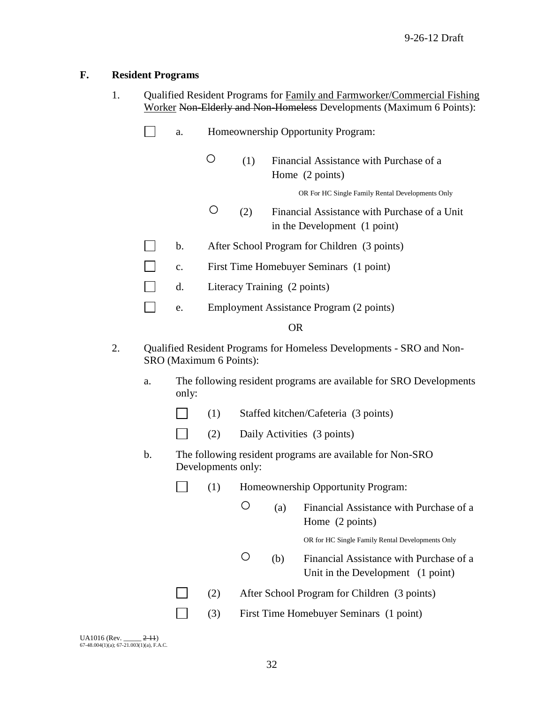## **F. Resident Programs**

- 1. Qualified Resident Programs for Family and Farmworker/Commercial Fishing Worker Non-Elderly and Non-Homeless Developments (Maximum 6 Points):
	- $\Box$ a. Homeownership Opportunity Program:
		- (1) Financial Assistance with Purchase of a Home (2 points)

OR For HC Single Family Rental Developments Only

- (2) Financial Assistance with Purchase of a Unit in the Development (1 point)
- b. After School Program for Children (3 points)
- $\Box$ c. First Time Homebuyer Seminars (1 point)
- d. Literacy Training (2 points)
- $\mathbb{R}^n$ e. Employment Assistance Program (2 points)

#### OR

- 2. Oualified Resident Programs for Homeless Developments SRO and Non-SRO (Maximum 6 Points):
	- a. The following resident programs are available for SRO Developments only:
		- $\Box$ (1) Staffed kitchen/Cafeteria (3 points)
		- $\Box$ (2) Daily Activities (3 points)
	- b. The following resident programs are available for Non-SRO Developments only:

|  | (1) | Homeownership Opportunity Program: |
|--|-----|------------------------------------|
|--|-----|------------------------------------|

○ (a) Financial Assistance with Purchase of a Home (2 points)

OR for HC Single Family Rental Developments Only

- (b) Financial Assistance with Purchase of a Unit in the Development (1 point)
- (2) After School Program for Children (3 points)
	- (3) First Time Homebuyer Seminars (1 point)

| <b>UA1016</b> (Rev.                            | $2-11$ |
|------------------------------------------------|--------|
| $67-48.004(1)(a)$ ; $67-21.003(1)(a)$ , F.A.C. |        |

 $\Box$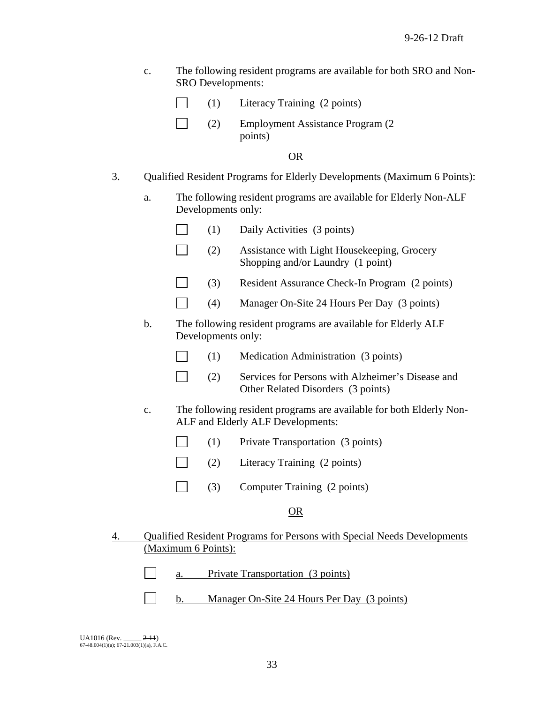| $\mathbf{c}$ . | The following resident programs are available for both SRO and Non- |
|----------------|---------------------------------------------------------------------|
|                | <b>SRO</b> Developments:                                            |

- $\Box$ (1) Literacy Training (2 points)
- $\Box$ (2) Employment Assistance Program (2 points)

OR

- 3. Qualified Resident Programs for Elderly Developments (Maximum 6 Points):
	- a. The following resident programs are available for Elderly Non-ALF Developments only:
		- $\Box$ (1) Daily Activities (3 points)
		- $\Box$ (2) Assistance with Light Housekeeping, Grocery Shopping and/or Laundry (1 point)
		- $\Box$ (3) Resident Assurance Check-In Program (2 points)
		- $\Box$ (4) Manager On-Site 24 Hours Per Day (3 points)
	- b. The following resident programs are available for Elderly ALF Developments only:
		- $\Box$ (1) Medication Administration (3 points)
		- $\Box$ (2) Services for Persons with Alzheimer's Disease and Other Related Disorders (3 points)
	- c. The following resident programs are available for both Elderly Non-ALF and Elderly ALF Developments:
		- $\Box$ (1) Private Transportation (3 points)
		- $\sim 10$ (2) Literacy Training (2 points)
		- $\Box$ (3) Computer Training (2 points)

#### OR

4. Qualified Resident Programs for Persons with Special Needs Developments (Maximum 6 Points):

| Private Transportation (3 points) |
|-----------------------------------|
|-----------------------------------|

b. Manager On-Site 24 Hours Per Day (3 points)

 $UA1016$  (Rev.  $2-11$ ) 67-48.004(1)(a); 67-21.003(1)(a), F.A.C.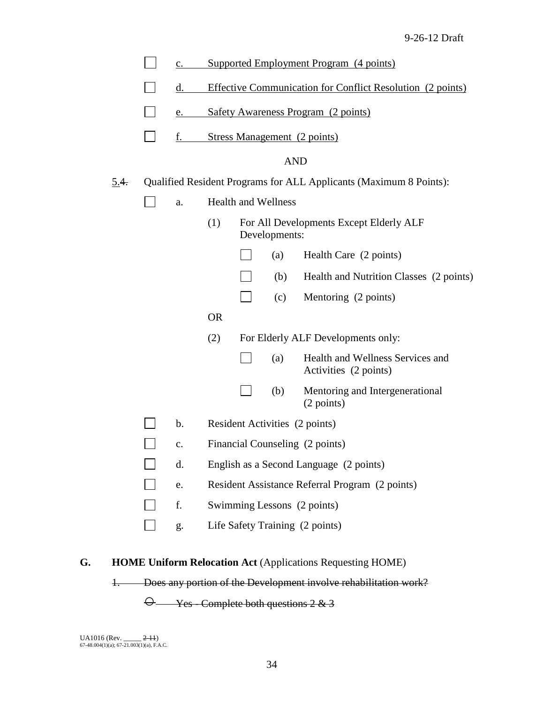|             | $c_{\cdot}$   |           | Supported Employment Program (4 points)                            |                            |                                                           |  |
|-------------|---------------|-----------|--------------------------------------------------------------------|----------------------------|-----------------------------------------------------------|--|
|             | d.            |           | <b>Effective Communication for Conflict Resolution (2 points)</b>  |                            |                                                           |  |
|             | e.            |           | <b>Safety Awareness Program (2 points)</b>                         |                            |                                                           |  |
|             | f.            |           | Stress Management (2 points)                                       |                            |                                                           |  |
|             |               |           |                                                                    |                            | <b>AND</b>                                                |  |
| <u>5.4.</u> |               |           | Qualified Resident Programs for ALL Applicants (Maximum 8 Points): |                            |                                                           |  |
|             | a.            |           |                                                                    | <b>Health and Wellness</b> |                                                           |  |
|             |               | (1)       |                                                                    | Developments:              | For All Developments Except Elderly ALF                   |  |
|             |               |           |                                                                    | (a)                        | Health Care (2 points)                                    |  |
|             |               |           |                                                                    | (b)                        | Health and Nutrition Classes (2 points)                   |  |
|             |               |           |                                                                    | (c)                        | Mentoring (2 points)                                      |  |
|             |               | <b>OR</b> |                                                                    |                            |                                                           |  |
|             |               | (2)       |                                                                    |                            | For Elderly ALF Developments only:                        |  |
|             |               |           |                                                                    | (a)                        | Health and Wellness Services and<br>Activities (2 points) |  |
|             |               |           |                                                                    | (b)                        | Mentoring and Intergenerational<br>(2 points)             |  |
|             | $\mathbf b$ . |           |                                                                    |                            | Resident Activities (2 points)                            |  |
|             | c.            |           |                                                                    |                            | Financial Counseling (2 points)                           |  |
|             | d.            |           |                                                                    |                            | English as a Second Language (2 points)                   |  |
|             | e.            |           |                                                                    |                            | Resident Assistance Referral Program (2 points)           |  |
|             | f.            |           |                                                                    |                            | Swimming Lessons (2 points)                               |  |
|             | g.            |           |                                                                    |                            | Life Safety Training (2 points)                           |  |
|             |               |           |                                                                    |                            |                                                           |  |

# **G. HOME Uniform Relocation Act** (Applications Requesting HOME)

1. Does any portion of the Development involve rehabilitation work?

○ Yes - Complete both questions 2 & 3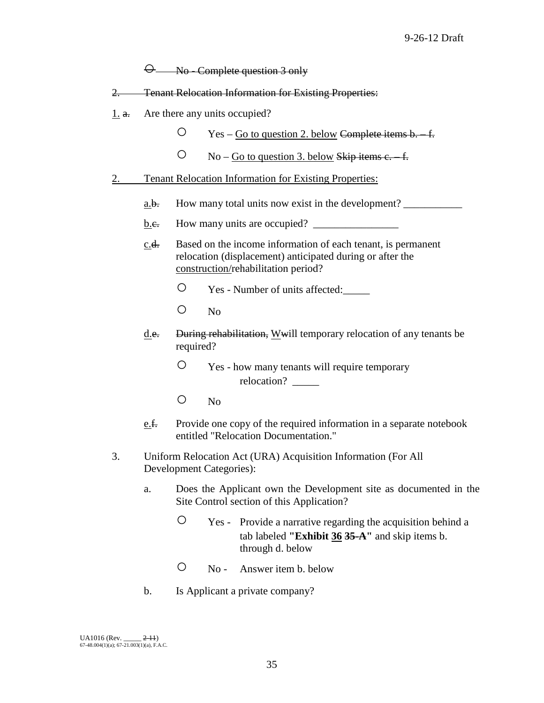$\Theta$  No - Complete question 3 only

- 2. Tenant Relocation Information for Existing Properties:
- $1. a.$  Are there any units occupied?
	- $\degree$  Yes Go to question 2. below Complete items b. f.
	- $\rm O$  No Go to question 3. below Skip items c. f.
- 2. Tenant Relocation Information for Existing Properties:
	- a.b. How many total units now exist in the development?
	- b.e. How many units are occupied?
	- c.d. Based on the income information of each tenant, is permanent relocation (displacement) anticipated during or after the construction/rehabilitation period?
		- Yes Number of units affected:\_\_\_\_\_
		- No
	- d.e. During rehabilitation, Wwill temporary relocation of any tenants be required?
		- Yes how many tenants will require temporary relocation? \_\_\_\_\_\_
		- $O$  No
	- e.f. Provide one copy of the required information in a separate notebook entitled "Relocation Documentation."
- 3. Uniform Relocation Act (URA) Acquisition Information (For All Development Categories):
	- a. Does the Applicant own the Development site as documented in the Site Control section of this Application?
		- Yes Provide a narrative regarding the acquisition behind a tab labeled **"Exhibit 36 35-A"** and skip items b. through d. below
		- No Answer item b. below
	- b. Is Applicant a private company?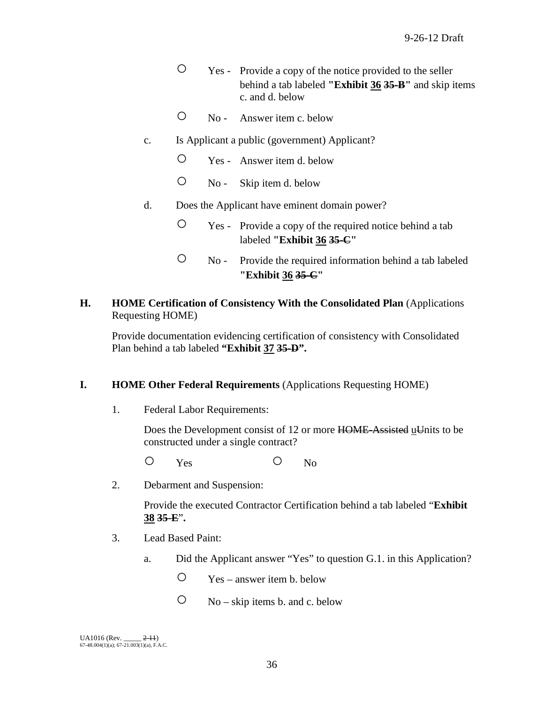- Yes Provide a copy of the notice provided to the seller behind a tab labeled **"Exhibit 36 35-B"** and skip items c. and d. below
- No Answer item c. below
- c. Is Applicant a public (government) Applicant?
	- Yes Answer item d. below
	- No Skip item d. below
- d. Does the Applicant have eminent domain power?
	- Yes Provide a copy of the required notice behind a tab labeled **"Exhibit 36 35-C"**
	- No Provide the required information behind a tab labeled **"Exhibit 36 35-C"**
- **H. HOME Certification of Consistency With the Consolidated Plan** (Applications Requesting HOME)

Provide documentation evidencing certification of consistency with Consolidated Plan behind a tab labeled **"Exhibit 37 35-D".**

# **I. HOME Other Federal Requirements** (Applications Requesting HOME)

1. Federal Labor Requirements:

Does the Development consist of 12 or more HOME-Assisted uUnits to be constructed under a single contract?

O Yes O No

2. Debarment and Suspension:

Provide the executed Contractor Certification behind a tab labeled "**Exhibit 38 35-E**"**.**

- 3. Lead Based Paint:
	- a. Did the Applicant answer "Yes" to question G.1. in this Application?
		- $\degree$  Yes answer item b. below
		- $\bigcirc$  No skip items b. and c. below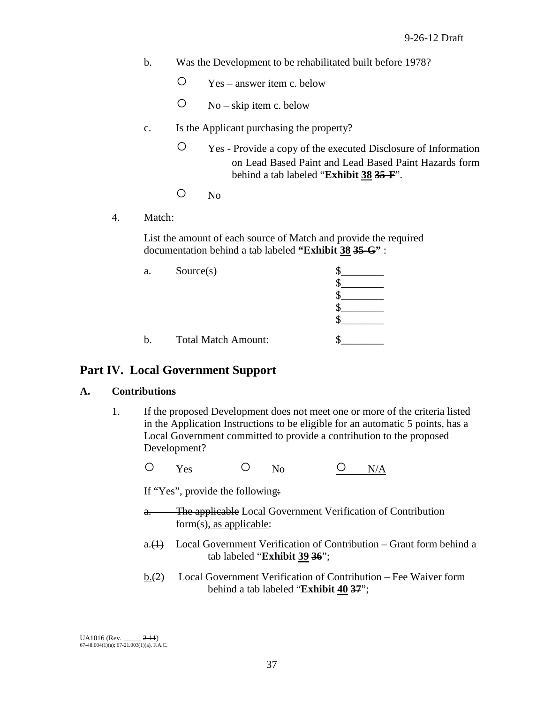- b. Was the Development to be rehabilitated built before 1978?
	- $\degree$  Yes answer item c. below
	- $\overline{O}$  No skip item c. below
- c. Is the Applicant purchasing the property?
	- Yes Provide a copy of the executed Disclosure of Information on Lead Based Paint and Lead Based Paint Hazards form behind a tab labeled "**Exhibit 38 35-F**".
	- No
- 4. Match:

List the amount of each source of Match and provide the required documentation behind a tab labeled **"Exhibit 38 35-G"** :

| a. | Source(s)                  |  |
|----|----------------------------|--|
|    |                            |  |
|    |                            |  |
|    |                            |  |
|    |                            |  |
| b. | <b>Total Match Amount:</b> |  |

# **Part IV. Local Government Support**

## **A. Contributions**

- 1. If the proposed Development does not meet one or more of the criteria listed in the Application Instructions to be eligible for an automatic 5 points, has a Local Government committed to provide a contribution to the proposed Development?
	- $O$  Yes  $O$  No  $O$  N/A

If "Yes", provide the following:

- a. The applicable Local Government Verification of Contribution form(s), as applicable:
- $a.(1)$  Local Government Verification of Contribution Grant form behind a tab labeled "**Exhibit 39 36**";
- b.(2) Local Government Verification of Contribution Fee Waiver form behind a tab labeled "**Exhibit 40 37**";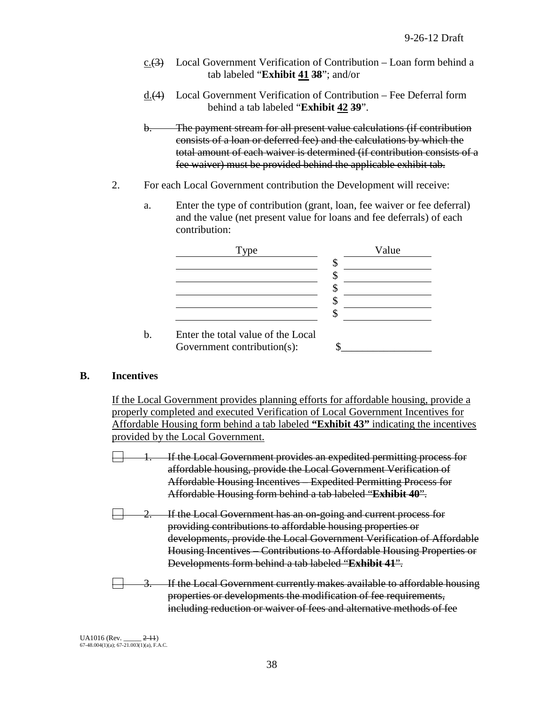- $c. (3)$  Local Government Verification of Contribution Loan form behind a tab labeled "**Exhibit 41 38**"; and/or
- d.(4) Local Government Verification of Contribution Fee Deferral form behind a tab labeled "**Exhibit 42 39**".
- b. The payment stream for all present value calculations (if contribution consists of a loan or deferred fee) and the calculations by which the total amount of each waiver is determined (if contribution consists of a fee waiver) must be provided behind the applicable exhibit tab.
- 2. For each Local Government contribution the Development will receive:
	- a. Enter the type of contribution (grant, loan, fee waiver or fee deferral) and the value (net present value for loans and fee deferrals) of each contribution:



# **B. Incentives**

If the Local Government provides planning efforts for affordable housing, provide a properly completed and executed Verification of Local Government Incentives for Affordable Housing form behind a tab labeled **"Exhibit 43"** indicating the incentives provided by the Local Government.

If the Local Government provides an expedited permitting process for affordable housing, provide the Local Government Verification of Affordable Housing Incentives – Expedited Permitting Process for Affordable Housing form behind a tab labeled "**Exhibit 40**".

- If the Local Government has an on-going and current process for providing contributions to affordable housing properties or developments, provide the Local Government Verification of Affordable Housing Incentives – Contributions to Affordable Housing Properties or Developments form behind a tab labeled "**Exhibit 41**".
- If the Local Government currently makes available to affordable housing properties or developments the modification of fee requirements, including reduction or waiver of fees and alternative methods of fee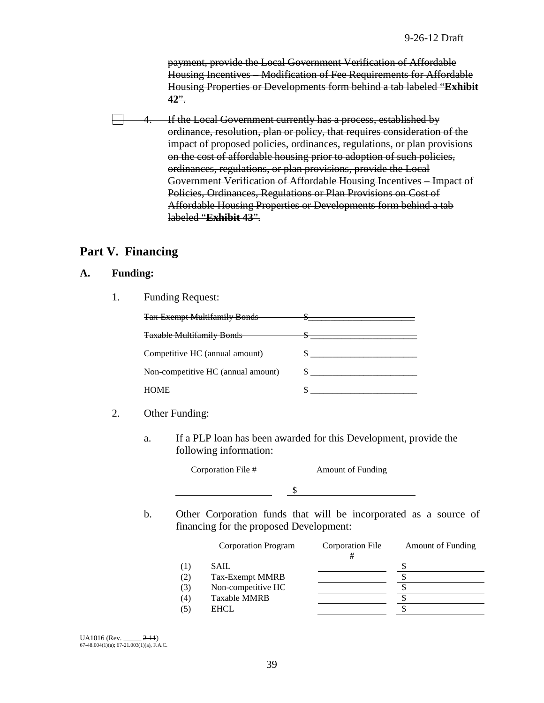payment, provide the Local Government Verification of Affordable Housing Incentives – Modification of Fee Requirements for Affordable Housing Properties or Developments form behind a tab labeled "**Exhibit 42**".

If the Local Government currently has a process, established by ordinance, resolution, plan or policy, that requires consideration of the impact of proposed policies, ordinances, regulations, or plan provisions on the cost of affordable housing prior to adoption of such policies, ordinances, regulations, or plan provisions, provide the Local Government Verification of Affordable Housing Incentives – Impact of Policies, Ordinances, Regulations or Plan Provisions on Cost of Affordable Housing Properties or Developments form behind a tab labeled "**Exhibit 43**".

# **Part V. Financing**

## **A. Funding:**

1. Funding Request:

| <b>Tax Exempt Multifamily Bonds</b> |  |
|-------------------------------------|--|
| <b>Taxable Multifamily Bonds</b>    |  |
| Competitive HC (annual amount)      |  |
| Non-competitive HC (annual amount)  |  |
| <b>HOME</b>                         |  |

- 2. Other Funding:
	- a. If a PLP loan has been awarded for this Development, provide the following information:

Corporation File # Amount of Funding \$

b. Other Corporation funds that will be incorporated as a source of financing for the proposed Development:

|     | <b>Corporation Program</b> | Corporation File | <b>Amount of Funding</b> |
|-----|----------------------------|------------------|--------------------------|
| (1) | SAIL                       |                  |                          |
| (2) | Tax-Exempt MMRB            |                  |                          |
| (3) | Non-competitive HC         |                  |                          |
| (4) | <b>Taxable MMRB</b>        |                  |                          |
| (5) | <b>EHCL</b>                |                  |                          |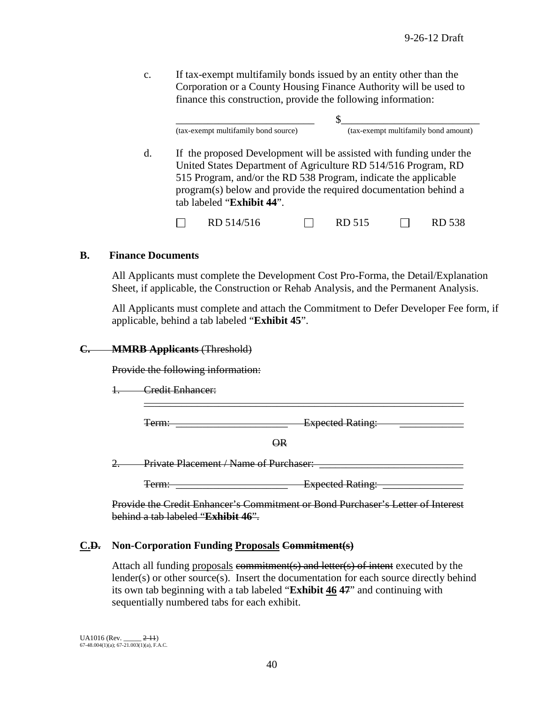c. If tax-exempt multifamily bonds issued by an entity other than the Corporation or a County Housing Finance Authority will be used to finance this construction, provide the following information:

\_\_\_\_\_\_\_\_\_\_\_\_\_\_\_\_\_\_\_\_\_\_\_\_\_\_ \$\_\_\_\_\_\_\_\_\_\_\_\_\_\_\_\_\_\_\_\_\_\_\_\_\_\_ (tax-exempt multifamily bond source) (tax-exempt multifamily bond amount)

d. If the proposed Development will be assisted with funding under the United States Department of Agriculture RD 514/516 Program, RD 515 Program, and/or the RD 538 Program, indicate the applicable program(s) below and provide the required documentation behind a tab labeled "**Exhibit 44**".

П  $RD 514/516$   $\Box$  RD 515  $\Box$  RD 538

## **B. Finance Documents**

All Applicants must complete the Development Cost Pro-Forma, the Detail/Explanation Sheet, if applicable, the Construction or Rehab Analysis, and the Permanent Analysis.

All Applicants must complete and attach the Commitment to Defer Developer Fee form, if applicable, behind a tab labeled "**Exhibit 45**".

## **C. MMRB Applicants** (Threshold)

Provide the following information:

1. Credit Enhancer:

Term: Term: **Term:** Expected Rating:

\_\_\_\_\_\_\_\_\_\_\_\_\_\_\_\_\_\_\_\_\_\_\_\_\_\_\_\_\_\_\_\_\_\_\_\_\_\_\_\_\_\_\_\_\_\_\_\_\_\_\_\_\_\_\_\_\_\_\_\_

OR

2. Private Placement / Name of Purchaser:

Term: \_\_\_\_\_\_\_\_\_\_\_\_\_\_\_\_\_\_\_\_\_ Expected Rating: \_\_\_\_\_\_\_\_\_\_\_\_\_\_\_

Provide the Credit Enhancer's Commitment or Bond Purchaser's Letter of Interest behind a tab labeled "**Exhibit 46**".

## **C.D. Non-Corporation Funding Proposals Commitment(s)**

Attach all funding proposals commitment(s) and letter(s) of intent executed by the lender(s) or other source(s). Insert the documentation for each source directly behind its own tab beginning with a tab labeled "**Exhibit 46 47**" and continuing with sequentially numbered tabs for each exhibit.